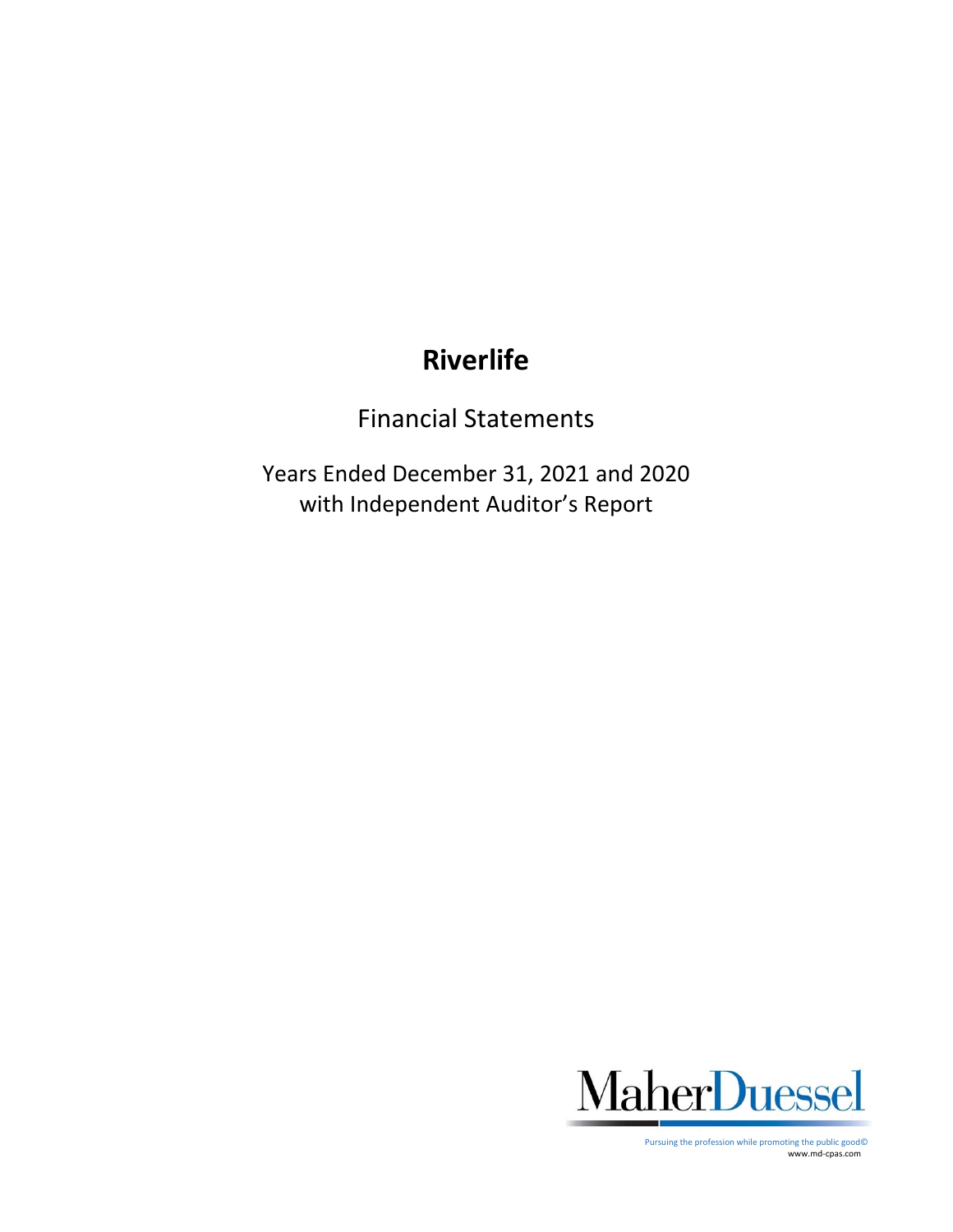# **Riverlife**

Financial Statements

Years Ended December 31, 2021 and 2020 with Independent Auditor's Report



Pursuing the profession while promoting the public good© www.md‐cpas.com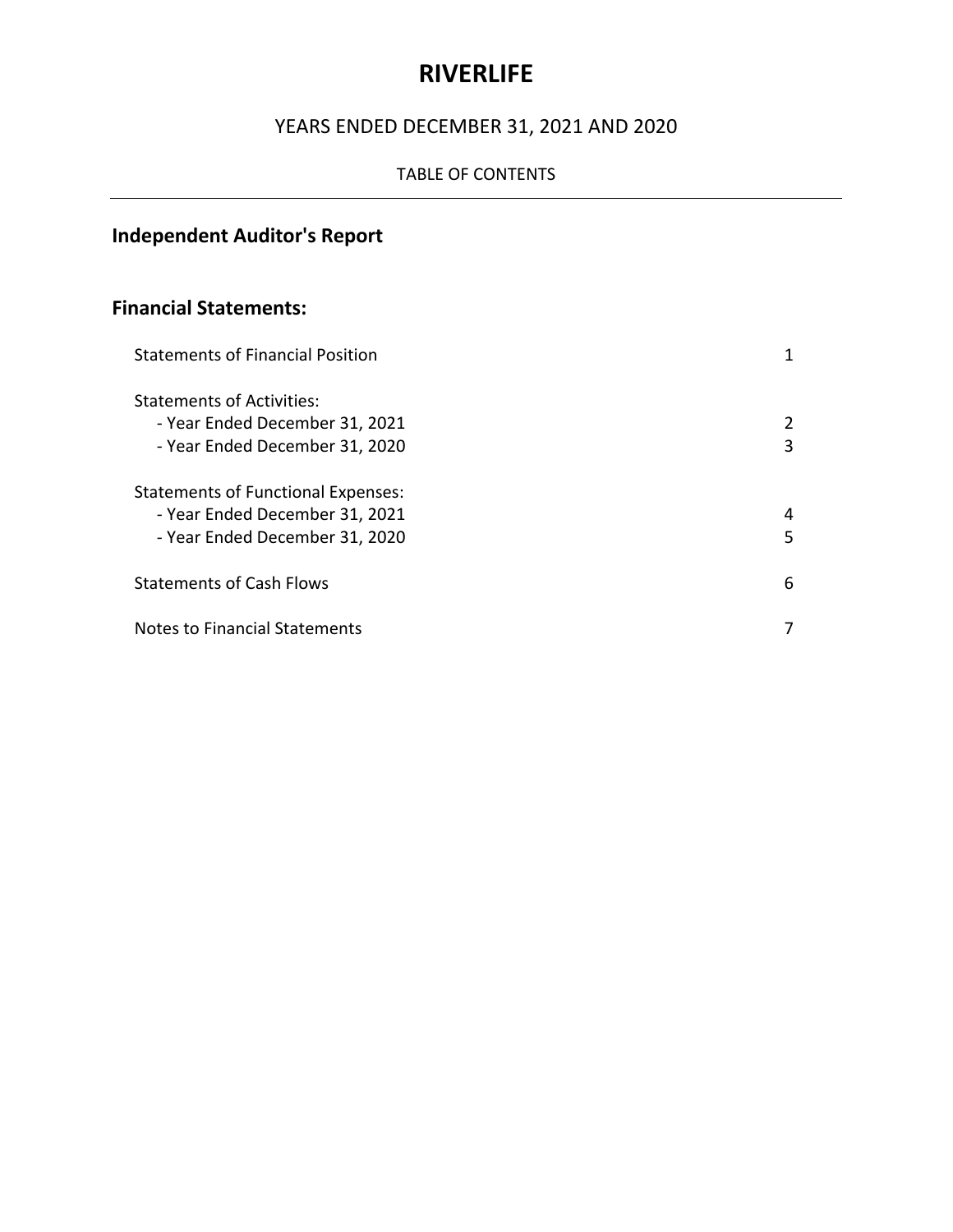## YEARS ENDED DECEMBER 31, 2021 AND 2020

### TABLE OF CONTENTS

## **Independent Auditor's Report**

## **Financial Statements:**

| <b>Statements of Financial Position</b> |   |
|-----------------------------------------|---|
| <b>Statements of Activities:</b>        |   |
| - Year Ended December 31, 2021          | 2 |
| - Year Ended December 31, 2020          | 3 |
| Statements of Functional Expenses:      |   |
| - Year Ended December 31, 2021          | 4 |
| - Year Ended December 31, 2020          | 5 |
| <b>Statements of Cash Flows</b>         | 6 |
| <b>Notes to Financial Statements</b>    | 7 |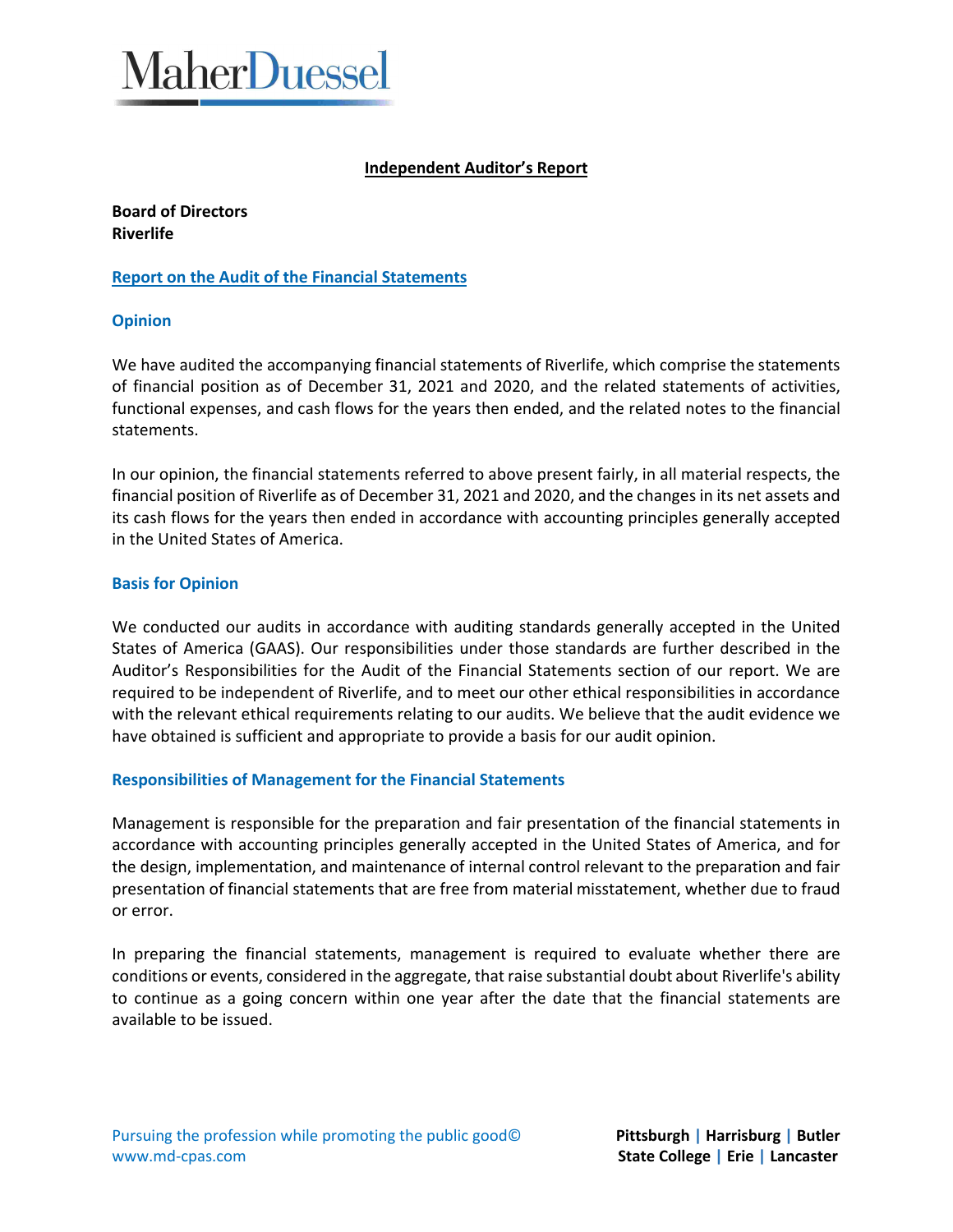

#### **Independent Auditor's Report**

**Board of Directors Riverlife**

**Report on the Audit of the Financial Statements**

#### **Opinion**

We have audited the accompanying financial statements of Riverlife, which comprise the statements of financial position as of December 31, 2021 and 2020, and the related statements of activities, functional expenses, and cash flows for the years then ended, and the related notes to the financial statements.

In our opinion, the financial statements referred to above present fairly, in all material respects, the financial position of Riverlife as of December 31, 2021 and 2020, and the changes in its net assets and its cash flows for the years then ended in accordance with accounting principles generally accepted in the United States of America.

#### **Basis for Opinion**

We conducted our audits in accordance with auditing standards generally accepted in the United States of America (GAAS). Our responsibilities under those standards are further described in the Auditor's Responsibilities for the Audit of the Financial Statements section of our report. We are required to be independent of Riverlife, and to meet our other ethical responsibilities in accordance with the relevant ethical requirements relating to our audits. We believe that the audit evidence we have obtained is sufficient and appropriate to provide a basis for our audit opinion.

#### **Responsibilities of Management for the Financial Statements**

Management is responsible for the preparation and fair presentation of the financial statements in accordance with accounting principles generally accepted in the United States of America, and for the design, implementation, and maintenance of internal control relevant to the preparation and fair presentation of financial statements that are free from material misstatement, whether due to fraud or error.

In preparing the financial statements, management is required to evaluate whether there are conditions or events, considered in the aggregate, that raise substantial doubt about Riverlife's ability to continue as a going concern within one year after the date that the financial statements are available to be issued.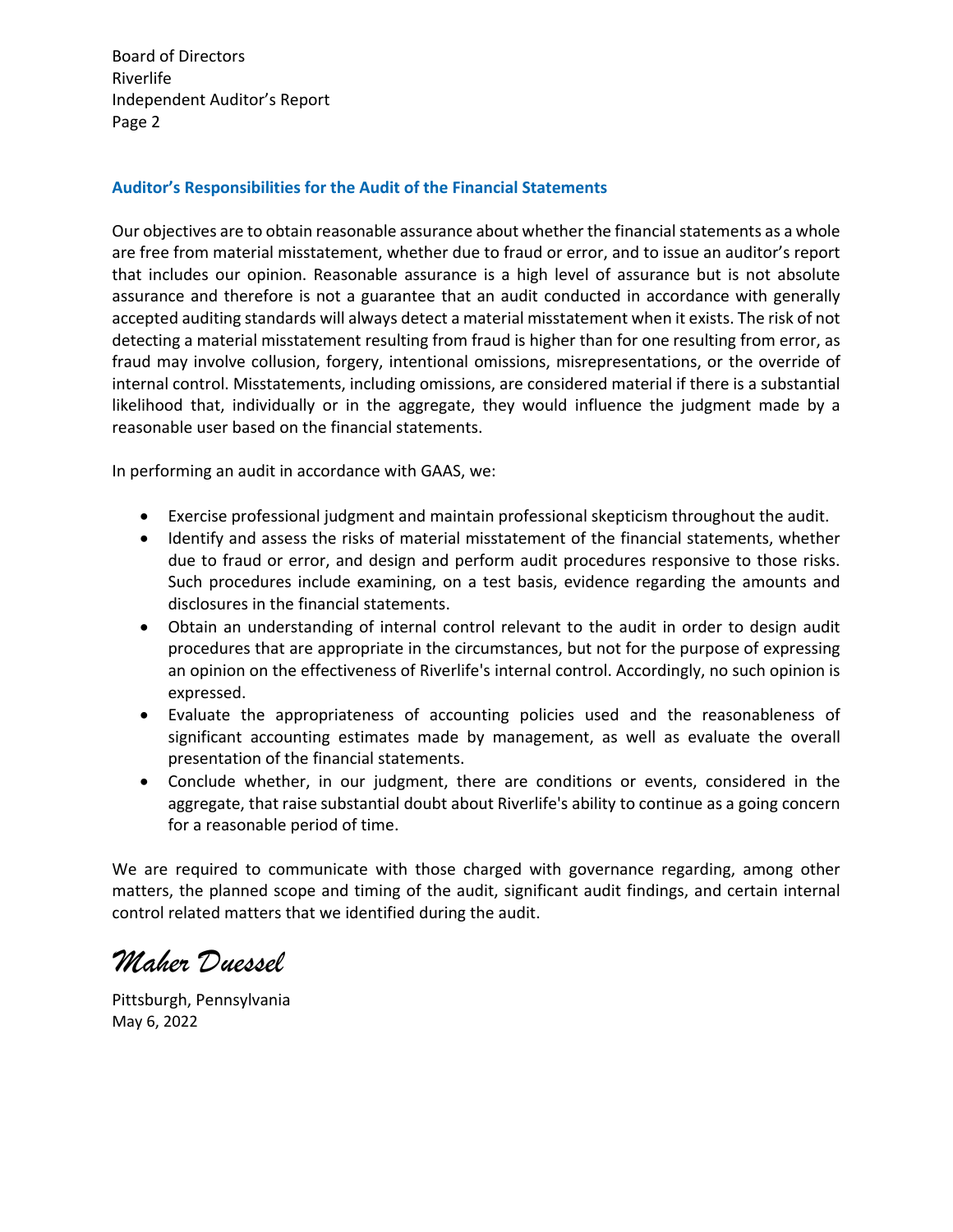Board of Directors Riverlife Independent Auditor's Report Page 2

#### **Auditor's Responsibilities for the Audit of the Financial Statements**

Our objectives are to obtain reasonable assurance about whether the financial statements as a whole are free from material misstatement, whether due to fraud or error, and to issue an auditor's report that includes our opinion. Reasonable assurance is a high level of assurance but is not absolute assurance and therefore is not a guarantee that an audit conducted in accordance with generally accepted auditing standards will always detect a material misstatement when it exists. The risk of not detecting a material misstatement resulting from fraud is higher than for one resulting from error, as fraud may involve collusion, forgery, intentional omissions, misrepresentations, or the override of internal control. Misstatements, including omissions, are considered material if there is a substantial likelihood that, individually or in the aggregate, they would influence the judgment made by a reasonable user based on the financial statements.

In performing an audit in accordance with GAAS, we:

- Exercise professional judgment and maintain professional skepticism throughout the audit.
- Identify and assess the risks of material misstatement of the financial statements, whether due to fraud or error, and design and perform audit procedures responsive to those risks. Such procedures include examining, on a test basis, evidence regarding the amounts and disclosures in the financial statements.
- Obtain an understanding of internal control relevant to the audit in order to design audit procedures that are appropriate in the circumstances, but not for the purpose of expressing an opinion on the effectiveness of Riverlife's internal control. Accordingly, no such opinion is expressed.
- Evaluate the appropriateness of accounting policies used and the reasonableness of significant accounting estimates made by management, as well as evaluate the overall presentation of the financial statements.
- Conclude whether, in our judgment, there are conditions or events, considered in the aggregate, that raise substantial doubt about Riverlife's ability to continue as a going concern for a reasonable period of time.

We are required to communicate with those charged with governance regarding, among other matters, the planned scope and timing of the audit, significant audit findings, and certain internal control related matters that we identified during the audit.

*Maher Duessel*

Pittsburgh, Pennsylvania May 6, 2022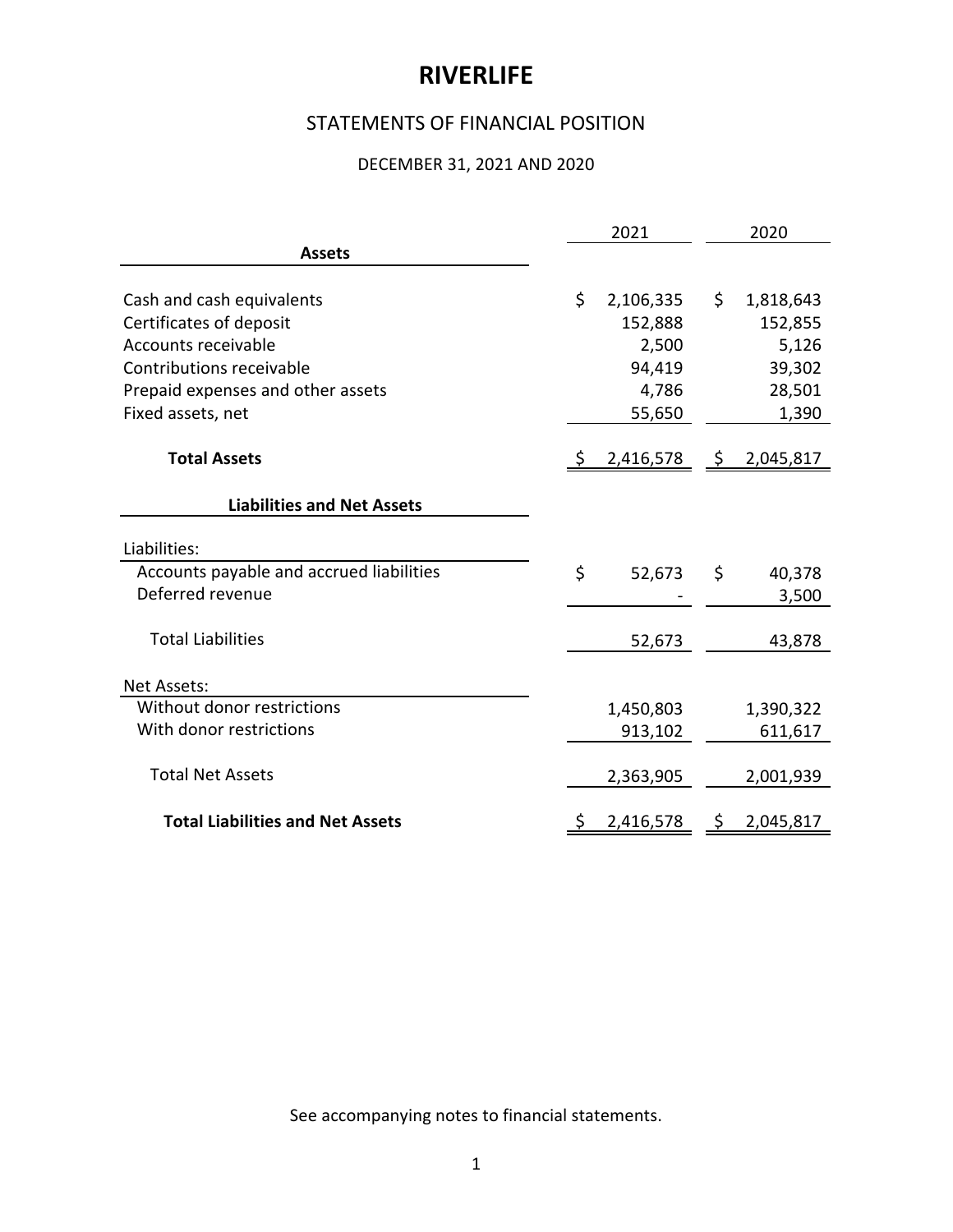## STATEMENTS OF FINANCIAL POSITION

### DECEMBER 31, 2021 AND 2020

|                                          | 2021 |           |      | 2020      |
|------------------------------------------|------|-----------|------|-----------|
| <b>Assets</b>                            |      |           |      |           |
| Cash and cash equivalents                | \$   | 2,106,335 | \$.  | 1,818,643 |
| Certificates of deposit                  |      | 152,888   |      | 152,855   |
| Accounts receivable                      |      | 2,500     |      | 5,126     |
| Contributions receivable                 |      | 94,419    |      | 39,302    |
| Prepaid expenses and other assets        |      | 4,786     |      | 28,501    |
| Fixed assets, net                        |      | 55,650    |      | 1,390     |
| <b>Total Assets</b>                      | S.   | 2,416,578 | - \$ | 2,045,817 |
| <b>Liabilities and Net Assets</b>        |      |           |      |           |
| Liabilities:                             |      |           |      |           |
| Accounts payable and accrued liabilities | \$   | 52,673    | \$   | 40,378    |
| Deferred revenue                         |      |           |      | 3,500     |
| <b>Total Liabilities</b>                 |      | 52,673    |      | 43,878    |
| Net Assets:                              |      |           |      |           |
| Without donor restrictions               |      | 1,450,803 |      | 1,390,322 |
| With donor restrictions                  |      | 913,102   |      | 611,617   |
| <b>Total Net Assets</b>                  |      | 2,363,905 |      | 2,001,939 |
| <b>Total Liabilities and Net Assets</b>  |      | 2,416,578 |      | 2,045,817 |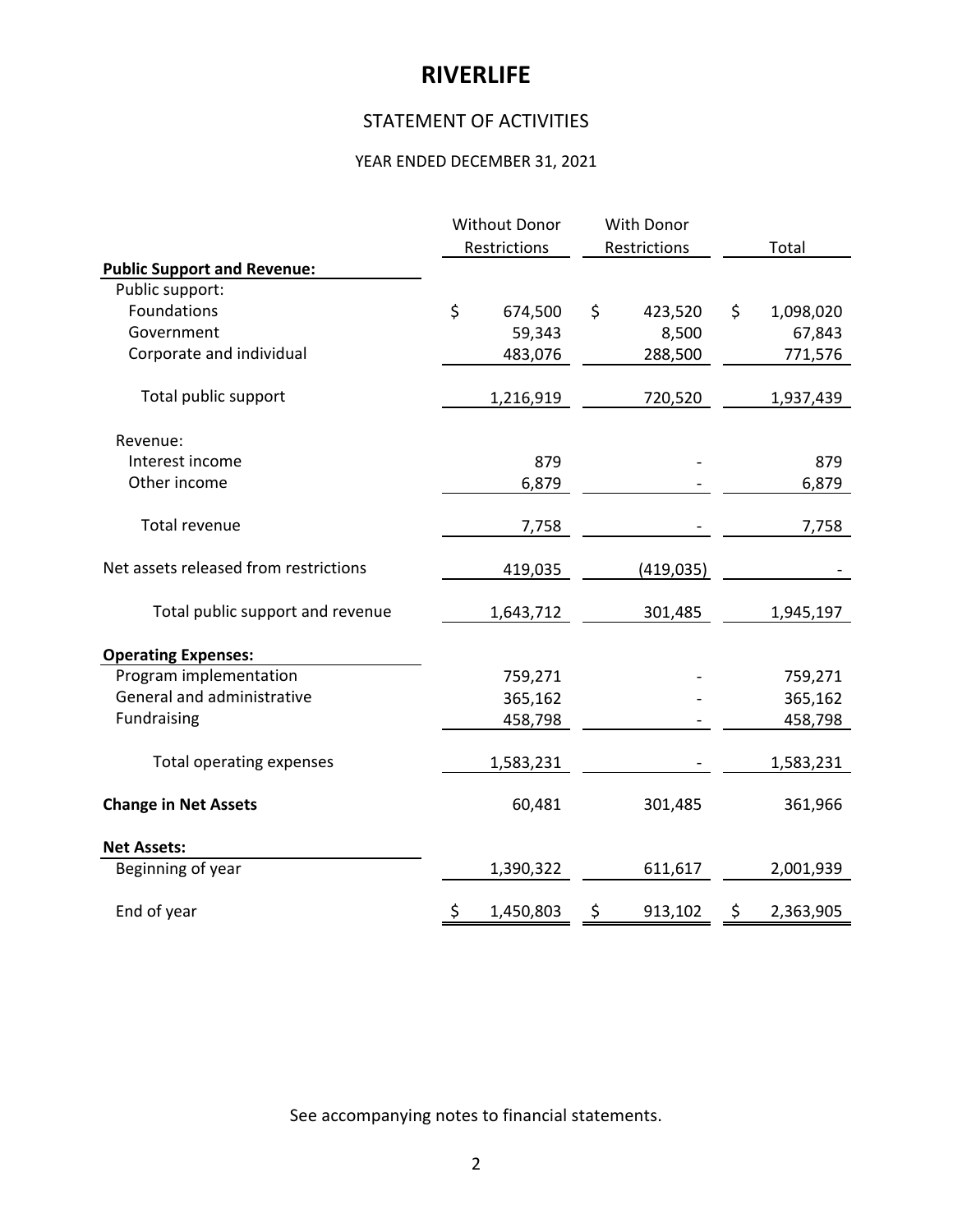## STATEMENT OF ACTIVITIES

### YEAR ENDED DECEMBER 31, 2021

|                                       | <b>Without Donor</b>         |    | With Donor |    |           |
|---------------------------------------|------------------------------|----|------------|----|-----------|
|                                       | Restrictions<br>Restrictions |    |            |    | Total     |
| <b>Public Support and Revenue:</b>    |                              |    |            |    |           |
| Public support:                       |                              |    |            |    |           |
| Foundations                           | \$<br>674,500                | \$ | 423,520    | \$ | 1,098,020 |
| Government                            | 59,343                       |    | 8,500      |    | 67,843    |
| Corporate and individual              | 483,076                      |    | 288,500    |    | 771,576   |
| Total public support                  | 1,216,919                    |    | 720,520    |    | 1,937,439 |
| Revenue:                              |                              |    |            |    |           |
| Interest income                       | 879                          |    |            |    | 879       |
| Other income                          | 6,879                        |    |            |    | 6,879     |
| Total revenue                         | 7,758                        |    |            |    | 7,758     |
| Net assets released from restrictions | 419,035                      |    | (419, 035) |    |           |
| Total public support and revenue      | 1,643,712                    |    | 301,485    |    | 1,945,197 |
| <b>Operating Expenses:</b>            |                              |    |            |    |           |
| Program implementation                | 759,271                      |    |            |    | 759,271   |
| General and administrative            | 365,162                      |    |            |    | 365,162   |
| Fundraising                           | 458,798                      |    |            |    | 458,798   |
| Total operating expenses              | 1,583,231                    |    |            |    | 1,583,231 |
| <b>Change in Net Assets</b>           | 60,481                       |    | 301,485    |    | 361,966   |
| <b>Net Assets:</b>                    |                              |    |            |    |           |
| Beginning of year                     | 1,390,322                    |    | 611,617    |    | 2,001,939 |
| End of year                           | \$<br>1,450,803              | \$ | 913,102    | \$ | 2,363,905 |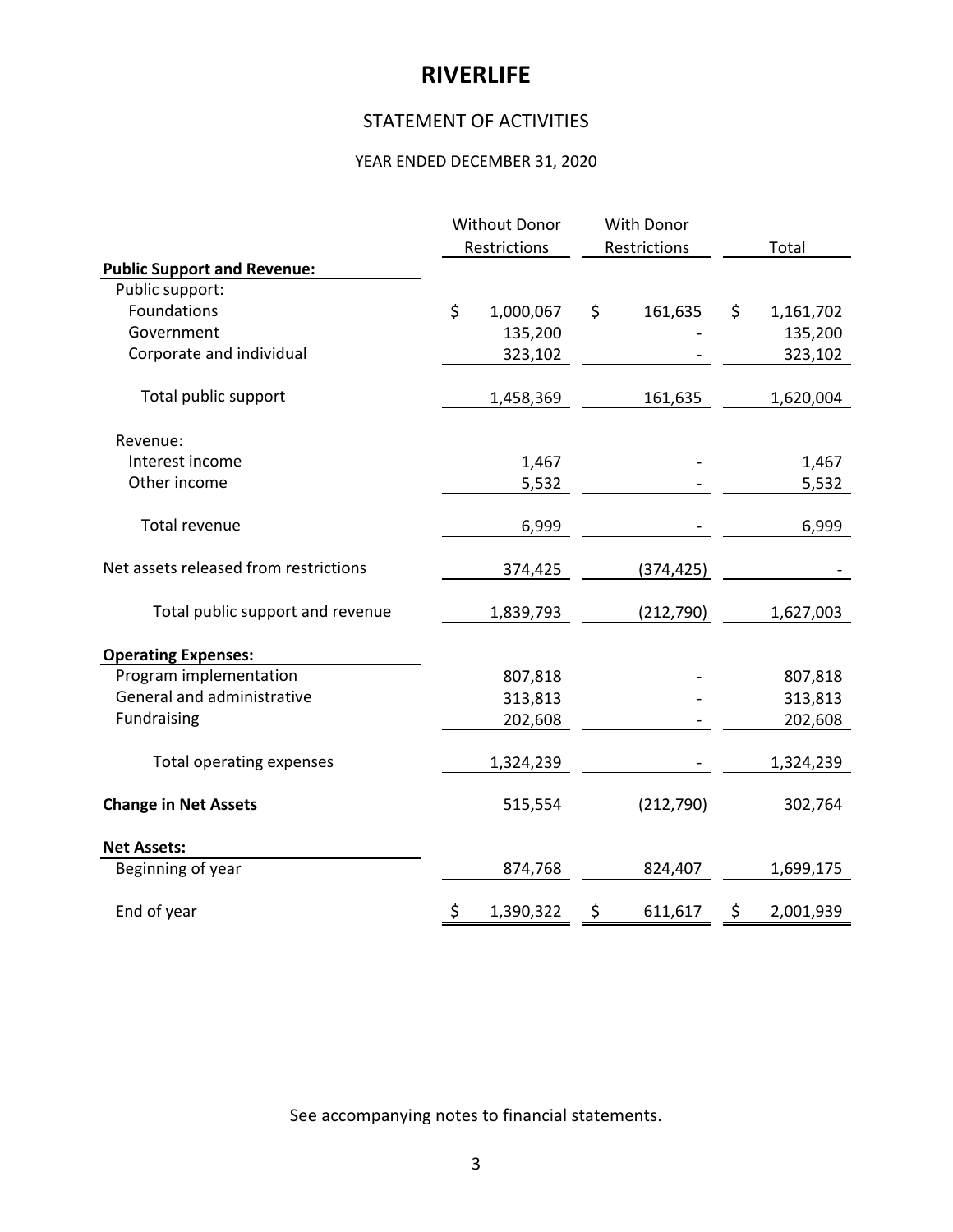## STATEMENT OF ACTIVITIES

#### YEAR ENDED DECEMBER 31, 2020

|                                       |              | <b>Without Donor</b> | With Donor    |                 |
|---------------------------------------|--------------|----------------------|---------------|-----------------|
|                                       | Restrictions |                      | Restrictions  | Total           |
| <b>Public Support and Revenue:</b>    |              |                      |               |                 |
| Public support:                       |              |                      |               |                 |
| Foundations                           | \$           | 1,000,067            | \$<br>161,635 | \$<br>1,161,702 |
| Government                            |              | 135,200              |               | 135,200         |
| Corporate and individual              |              | 323,102              |               | 323,102         |
| Total public support                  |              | 1,458,369            | 161,635       | 1,620,004       |
| Revenue:                              |              |                      |               |                 |
| Interest income                       |              | 1,467                |               | 1,467           |
| Other income                          |              | 5,532                |               | 5,532           |
| Total revenue                         |              | 6,999                |               | 6,999           |
| Net assets released from restrictions |              | 374,425              | (374, 425)    |                 |
| Total public support and revenue      |              | 1,839,793            | (212, 790)    | 1,627,003       |
| <b>Operating Expenses:</b>            |              |                      |               |                 |
| Program implementation                |              | 807,818              |               | 807,818         |
| General and administrative            |              | 313,813              |               | 313,813         |
| Fundraising                           |              | 202,608              |               | 202,608         |
| Total operating expenses              |              | 1,324,239            |               | 1,324,239       |
| <b>Change in Net Assets</b>           |              | 515,554              | (212, 790)    | 302,764         |
| <b>Net Assets:</b>                    |              |                      |               |                 |
| Beginning of year                     |              | 874,768              | 824,407       | 1,699,175       |
| End of year                           | \$           | 1,390,322            | \$<br>611,617 | \$<br>2,001,939 |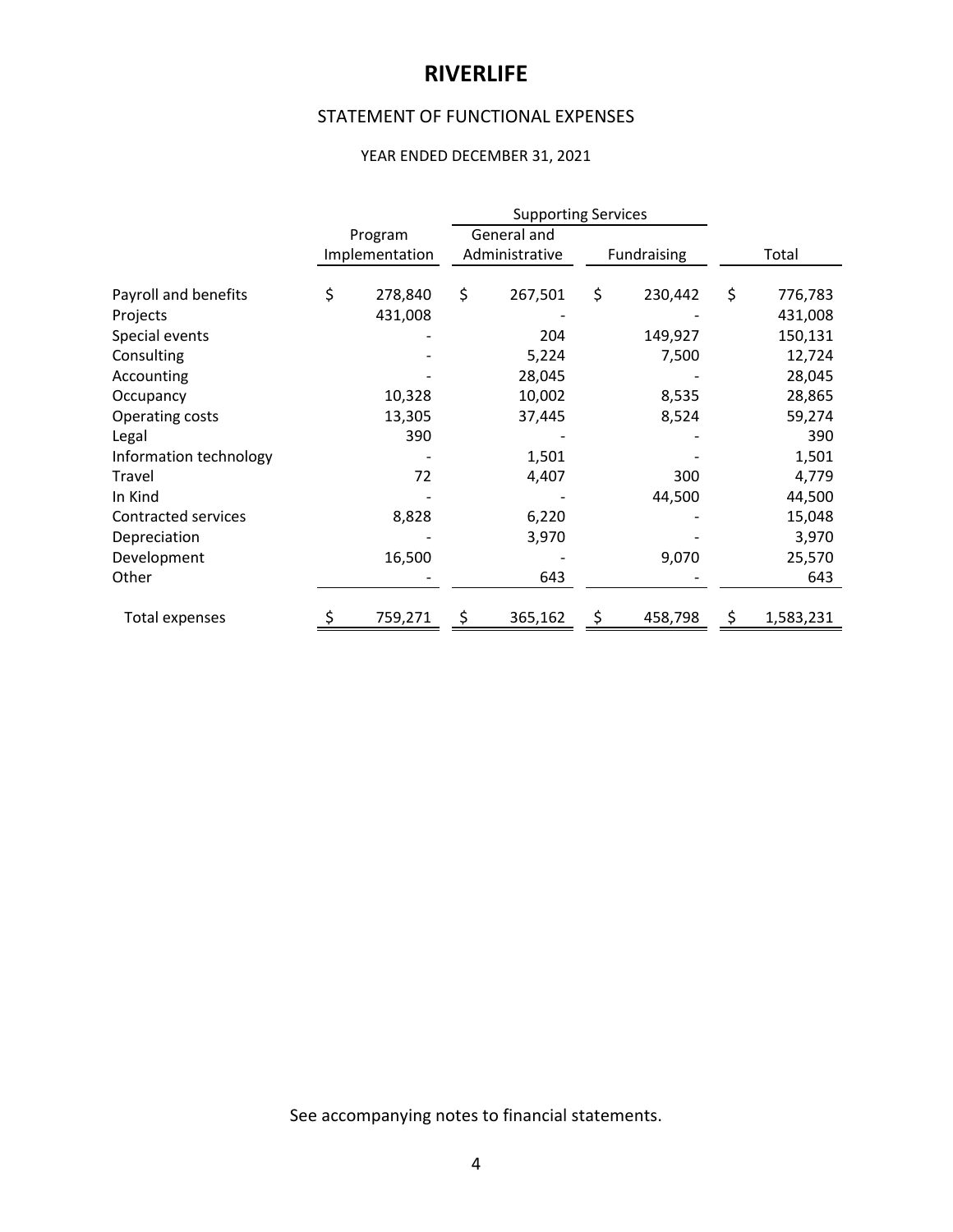## STATEMENT OF FUNCTIONAL EXPENSES

#### YEAR ENDED DECEMBER 31, 2021

|                        | <b>Supporting Services</b> |                |    |                |    |             |               |
|------------------------|----------------------------|----------------|----|----------------|----|-------------|---------------|
|                        |                            | Program        |    | General and    |    |             |               |
|                        |                            | Implementation |    | Administrative |    | Fundraising | Total         |
|                        |                            |                |    |                |    |             |               |
| Payroll and benefits   | \$                         | 278,840        | \$ | 267,501        | \$ | 230,442     | \$<br>776,783 |
| Projects               |                            | 431,008        |    |                |    |             | 431,008       |
| Special events         |                            |                |    | 204            |    | 149,927     | 150,131       |
| Consulting             |                            |                |    | 5,224          |    | 7,500       | 12,724        |
| Accounting             |                            |                |    | 28,045         |    |             | 28,045        |
| Occupancy              |                            | 10,328         |    | 10,002         |    | 8,535       | 28,865        |
| Operating costs        |                            | 13,305         |    | 37,445         |    | 8,524       | 59,274        |
| Legal                  |                            | 390            |    |                |    |             | 390           |
| Information technology |                            |                |    | 1,501          |    |             | 1,501         |
| Travel                 |                            | 72             |    | 4,407          |    | 300         | 4,779         |
| In Kind                |                            |                |    |                |    | 44,500      | 44,500        |
| Contracted services    |                            | 8,828          |    | 6,220          |    |             | 15,048        |
| Depreciation           |                            |                |    | 3,970          |    |             | 3,970         |
| Development            |                            | 16,500         |    |                |    | 9,070       | 25,570        |
| Other                  |                            |                |    | 643            |    |             | 643           |
|                        |                            |                |    |                |    |             |               |
| Total expenses         |                            | 759,271        |    | 365,162        |    | 458,798     | 1,583,231     |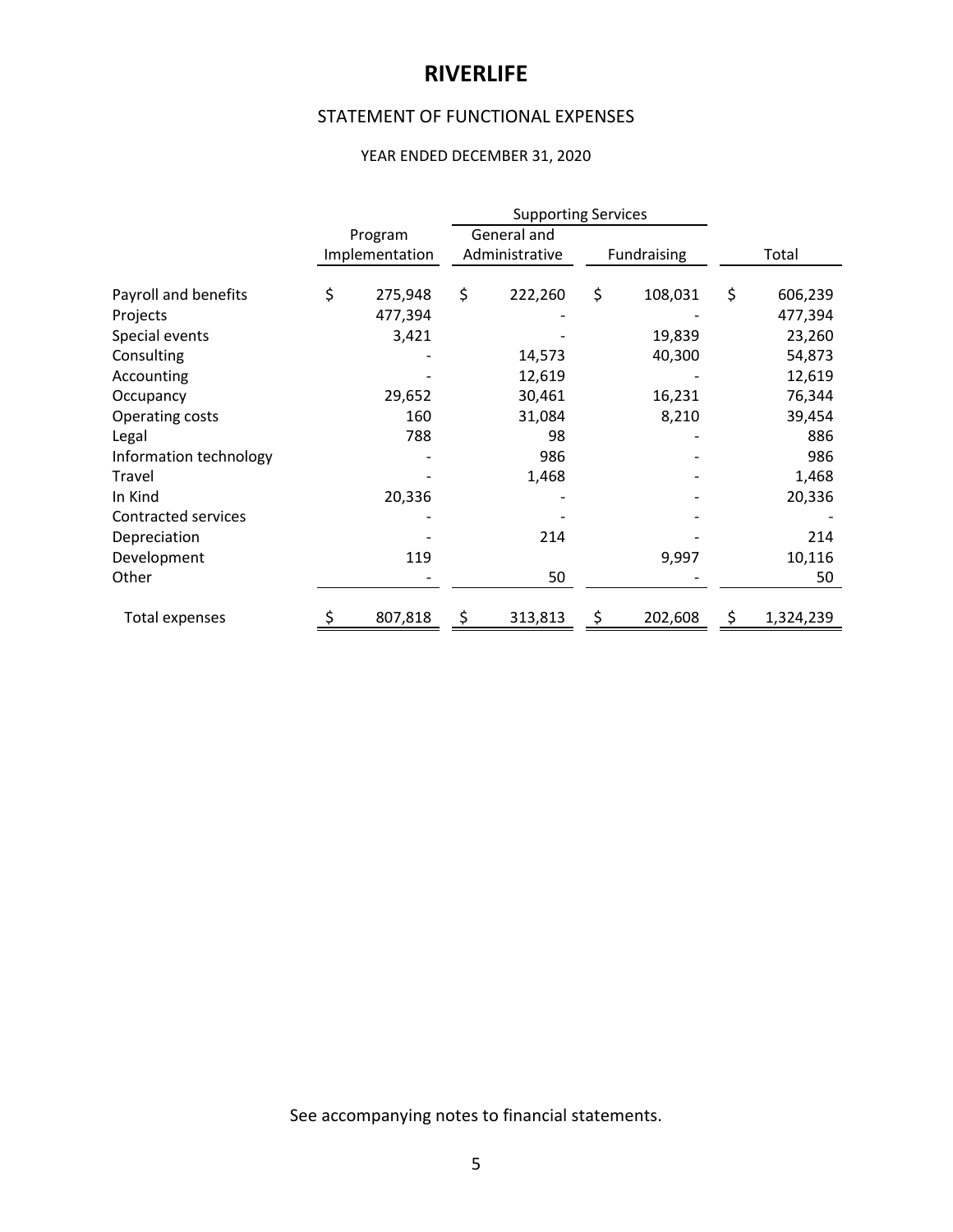## STATEMENT OF FUNCTIONAL EXPENSES

#### YEAR ENDED DECEMBER 31, 2020

|                        | <b>Supporting Services</b> |                |    |                |    |             |               |
|------------------------|----------------------------|----------------|----|----------------|----|-------------|---------------|
|                        |                            | Program        |    | General and    |    |             |               |
|                        |                            | Implementation |    | Administrative |    | Fundraising | Total         |
|                        |                            |                |    |                |    |             |               |
| Payroll and benefits   | \$                         | 275,948        | \$ | 222,260        | \$ | 108,031     | \$<br>606,239 |
| Projects               |                            | 477,394        |    |                |    |             | 477,394       |
| Special events         |                            | 3,421          |    |                |    | 19,839      | 23,260        |
| Consulting             |                            |                |    | 14,573         |    | 40,300      | 54,873        |
| Accounting             |                            |                |    | 12,619         |    |             | 12,619        |
| Occupancy              |                            | 29,652         |    | 30,461         |    | 16,231      | 76,344        |
| Operating costs        |                            | 160            |    | 31,084         |    | 8,210       | 39,454        |
| Legal                  |                            | 788            |    | 98             |    |             | 886           |
| Information technology |                            |                |    | 986            |    |             | 986           |
| Travel                 |                            |                |    | 1,468          |    |             | 1,468         |
| In Kind                |                            | 20,336         |    |                |    |             | 20,336        |
| Contracted services    |                            |                |    |                |    |             |               |
| Depreciation           |                            |                |    | 214            |    |             | 214           |
| Development            |                            | 119            |    |                |    | 9,997       | 10,116        |
| Other                  |                            |                |    | 50             |    |             | 50            |
|                        |                            |                |    |                |    |             |               |
| Total expenses         |                            | 807,818        |    | 313,813        |    | 202,608     | 1,324,239     |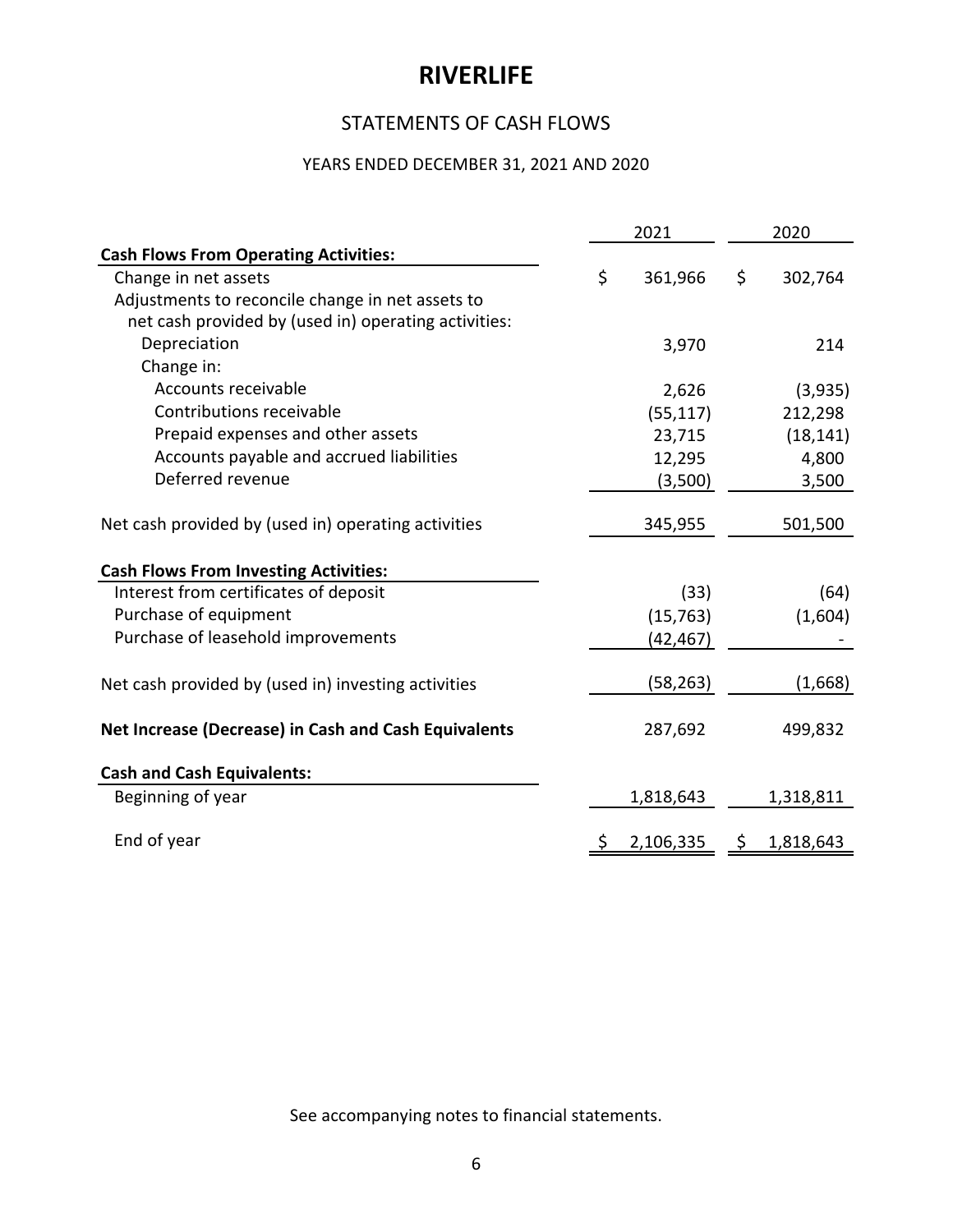## STATEMENTS OF CASH FLOWS

### YEARS ENDED DECEMBER 31, 2021 AND 2020

|                                                      | 2021 |           | 2020            |
|------------------------------------------------------|------|-----------|-----------------|
| <b>Cash Flows From Operating Activities:</b>         |      |           |                 |
| Change in net assets                                 | \$   | 361,966   | \$<br>302,764   |
| Adjustments to reconcile change in net assets to     |      |           |                 |
| net cash provided by (used in) operating activities: |      |           |                 |
| Depreciation                                         |      | 3,970     | 214             |
| Change in:                                           |      |           |                 |
| Accounts receivable                                  |      | 2,626     | (3,935)         |
| Contributions receivable                             |      | (55, 117) | 212,298         |
| Prepaid expenses and other assets                    |      | 23,715    | (18, 141)       |
| Accounts payable and accrued liabilities             |      | 12,295    | 4,800           |
| Deferred revenue                                     |      | (3,500)   | 3,500           |
| Net cash provided by (used in) operating activities  |      | 345,955   | 501,500         |
| <b>Cash Flows From Investing Activities:</b>         |      |           |                 |
| Interest from certificates of deposit                |      | (33)      | (64)            |
| Purchase of equipment                                |      | (15, 763) | (1,604)         |
| Purchase of leasehold improvements                   |      | (42,467)  |                 |
| Net cash provided by (used in) investing activities  |      | (58, 263) | (1,668)         |
| Net Increase (Decrease) in Cash and Cash Equivalents |      | 287,692   | 499,832         |
| <b>Cash and Cash Equivalents:</b>                    |      |           |                 |
| Beginning of year                                    |      | 1,818,643 | 1,318,811       |
| End of year                                          | \$   | 2,106,335 | \$<br>1,818,643 |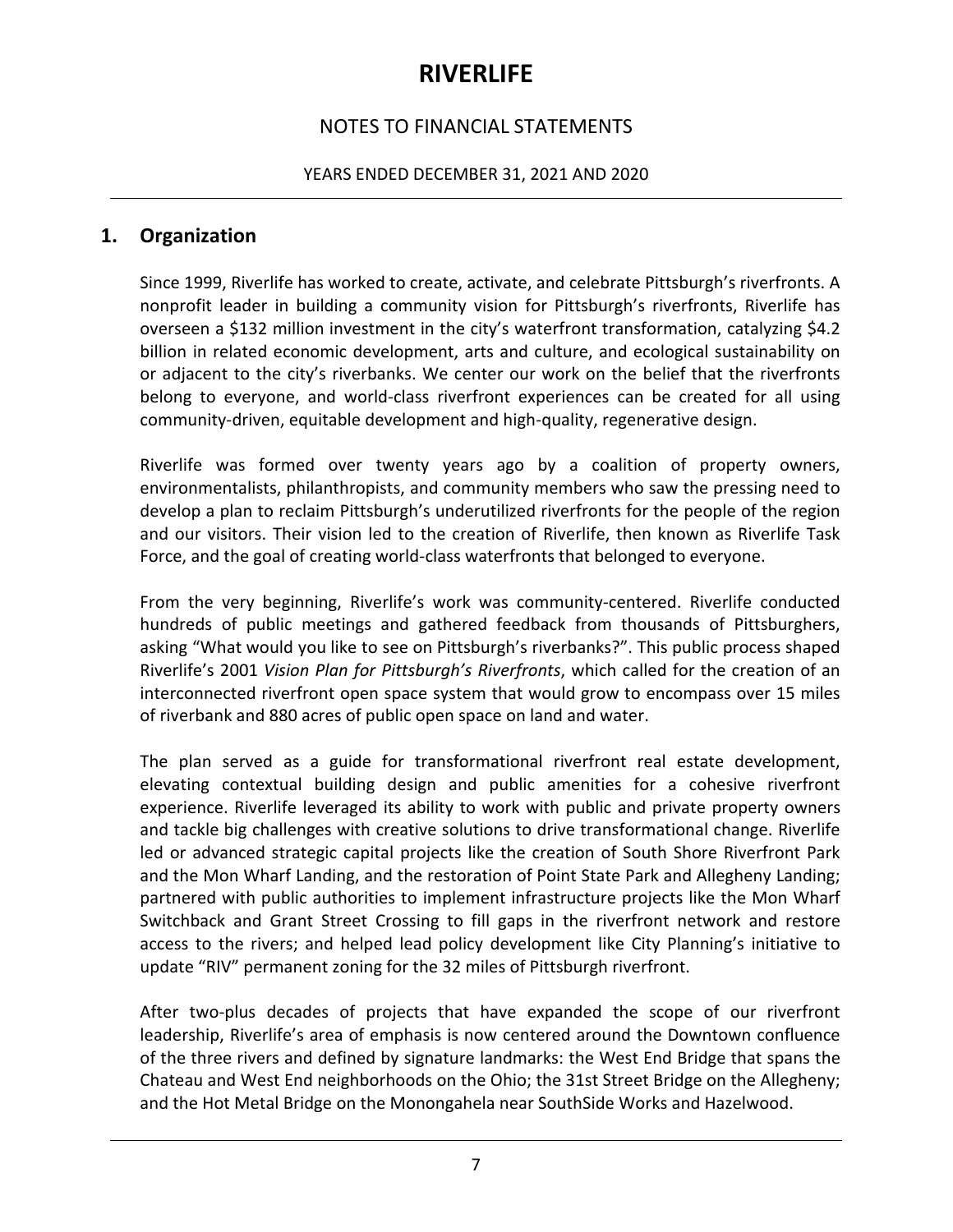## NOTES TO FINANCIAL STATEMENTS

### YEARS ENDED DECEMBER 31, 2021 AND 2020

### **1. Organization**

Since 1999, Riverlife has worked to create, activate, and celebrate Pittsburgh's riverfronts. A nonprofit leader in building a community vision for Pittsburgh's riverfronts, Riverlife has overseen a \$132 million investment in the city's waterfront transformation, catalyzing \$4.2 billion in related economic development, arts and culture, and ecological sustainability on or adjacent to the city's riverbanks. We center our work on the belief that the riverfronts belong to everyone, and world-class riverfront experiences can be created for all using community-driven, equitable development and high-quality, regenerative design.

Riverlife was formed over twenty years ago by a coalition of property owners, environmentalists, philanthropists, and community members who saw the pressing need to develop a plan to reclaim Pittsburgh's underutilized riverfronts for the people of the region and our visitors. Their vision led to the creation of Riverlife, then known as Riverlife Task Force, and the goal of creating world-class waterfronts that belonged to everyone.

From the very beginning, Riverlife's work was community-centered. Riverlife conducted hundreds of public meetings and gathered feedback from thousands of Pittsburghers, asking "What would you like to see on Pittsburgh's riverbanks?". This public process shaped Riverlife's 2001 *Vision Plan for Pittsburgh's Riverfronts*, which called for the creation of an interconnected riverfront open space system that would grow to encompass over 15 miles of riverbank and 880 acres of public open space on land and water.

The plan served as a guide for transformational riverfront real estate development, elevating contextual building design and public amenities for a cohesive riverfront experience. Riverlife leveraged its ability to work with public and private property owners and tackle big challenges with creative solutions to drive transformational change. Riverlife led or advanced strategic capital projects like the creation of South Shore Riverfront Park and the Mon Wharf Landing, and the restoration of Point State Park and Allegheny Landing; partnered with public authorities to implement infrastructure projects like the Mon Wharf Switchback and Grant Street Crossing to fill gaps in the riverfront network and restore access to the rivers; and helped lead policy development like City Planning's initiative to update "RIV" permanent zoning for the 32 miles of Pittsburgh riverfront.

After two-plus decades of projects that have expanded the scope of our riverfront leadership, Riverlife's area of emphasis is now centered around the Downtown confluence of the three rivers and defined by signature landmarks: the West End Bridge that spans the Chateau and West End neighborhoods on the Ohio; the 31st Street Bridge on the Allegheny; and the Hot Metal Bridge on the Monongahela near SouthSide Works and Hazelwood.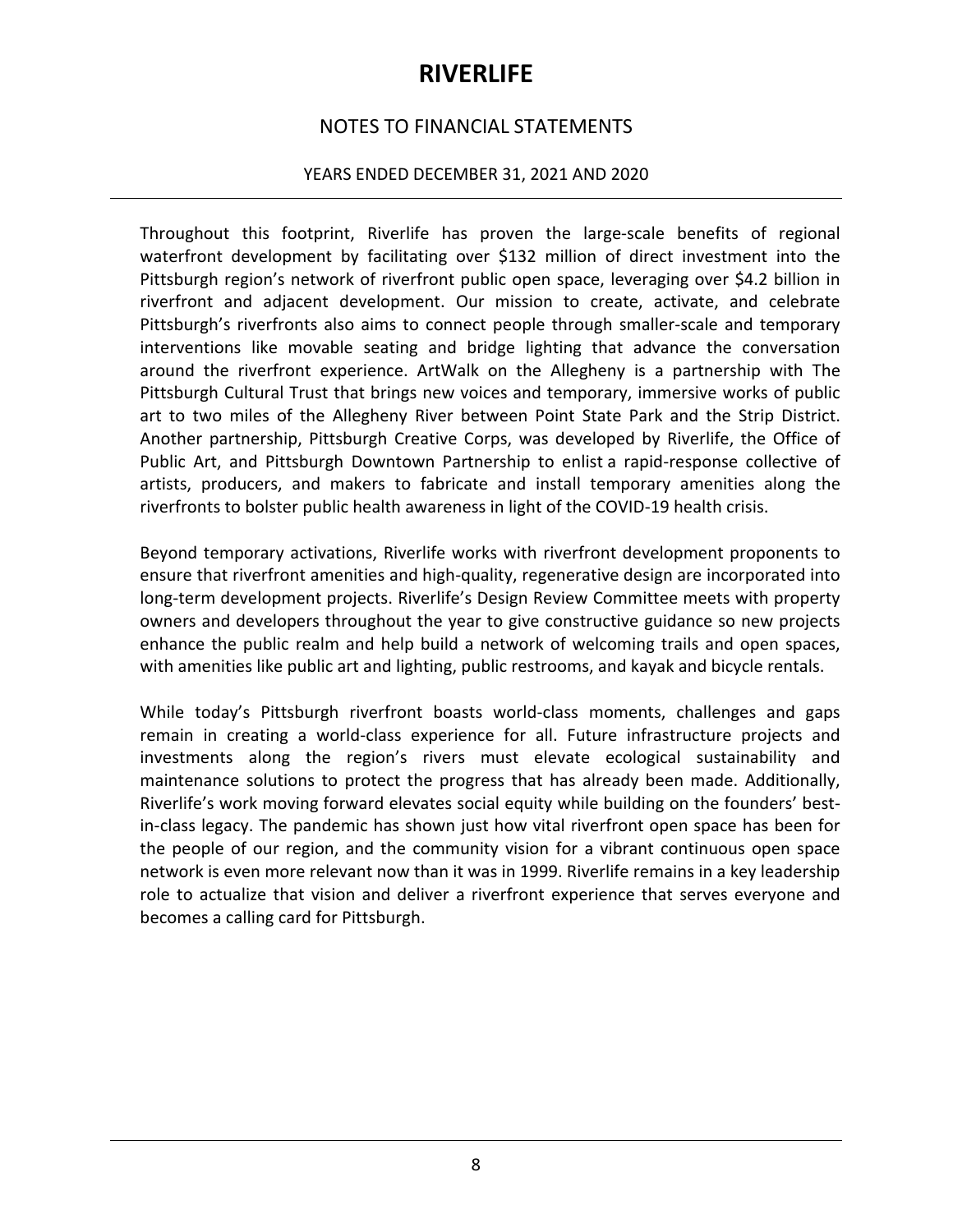### NOTES TO FINANCIAL STATEMENTS

#### YEARS ENDED DECEMBER 31, 2021 AND 2020

Throughout this footprint, Riverlife has proven the large-scale benefits of regional waterfront development by facilitating over \$132 million of direct investment into the Pittsburgh region's network of riverfront public open space, leveraging over \$4.2 billion in riverfront and adjacent development. Our mission to create, activate, and celebrate Pittsburgh's riverfronts also aims to connect people through smaller-scale and temporary interventions like movable seating and bridge lighting that advance the conversation around the riverfront experience. ArtWalk on the Allegheny is a partnership with The Pittsburgh Cultural Trust that brings new voices and temporary, immersive works of public art to two miles of the Allegheny River between Point State Park and the Strip District. Another partnership, Pittsburgh Creative Corps, was developed by Riverlife, the Office of Public Art, and Pittsburgh Downtown Partnership to enlist a rapid-response collective of artists, producers, and makers to fabricate and install temporary amenities along the riverfronts to bolster public health awareness in light of the COVID-19 health crisis.

Beyond temporary activations, Riverlife works with riverfront development proponents to ensure that riverfront amenities and high-quality, regenerative design are incorporated into long-term development projects. Riverlife's Design Review Committee meets with property owners and developers throughout the year to give constructive guidance so new projects enhance the public realm and help build a network of welcoming trails and open spaces, with amenities like public art and lighting, public restrooms, and kayak and bicycle rentals.

While today's Pittsburgh riverfront boasts world-class moments, challenges and gaps remain in creating a world-class experience for all. Future infrastructure projects and investments along the region's rivers must elevate ecological sustainability and maintenance solutions to protect the progress that has already been made. Additionally, Riverlife's work moving forward elevates social equity while building on the founders' bestin-class legacy. The pandemic has shown just how vital riverfront open space has been for the people of our region, and the community vision for a vibrant continuous open space network is even more relevant now than it was in 1999. Riverlife remains in a key leadership role to actualize that vision and deliver a riverfront experience that serves everyone and becomes a calling card for Pittsburgh.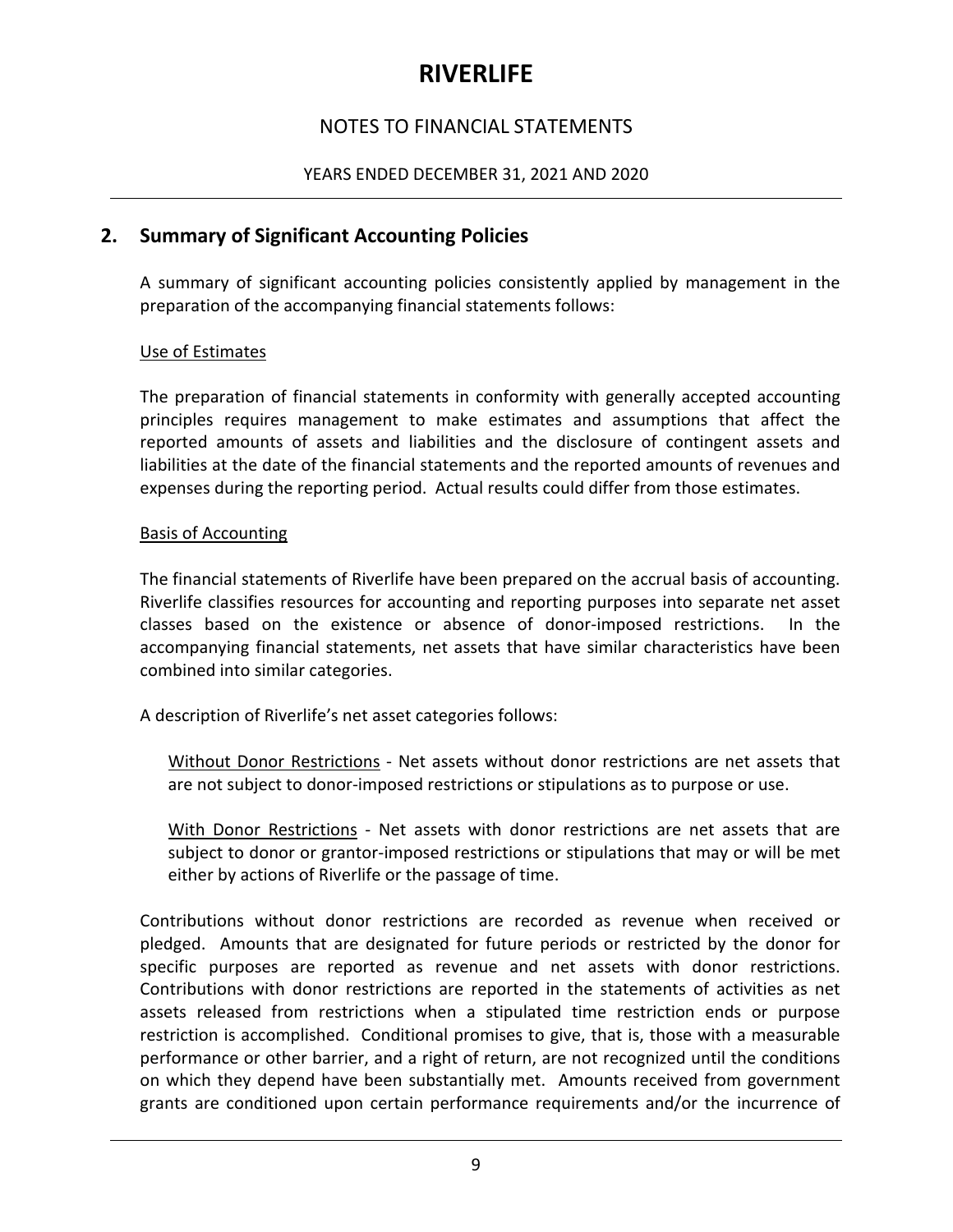## NOTES TO FINANCIAL STATEMENTS

### YEARS ENDED DECEMBER 31, 2021 AND 2020

### **2. Summary of Significant Accounting Policies**

A summary of significant accounting policies consistently applied by management in the preparation of the accompanying financial statements follows:

### Use of Estimates

The preparation of financial statements in conformity with generally accepted accounting principles requires management to make estimates and assumptions that affect the reported amounts of assets and liabilities and the disclosure of contingent assets and liabilities at the date of the financial statements and the reported amounts of revenues and expenses during the reporting period. Actual results could differ from those estimates.

#### Basis of Accounting

The financial statements of Riverlife have been prepared on the accrual basis of accounting. Riverlife classifies resources for accounting and reporting purposes into separate net asset classes based on the existence or absence of donor-imposed restrictions. In the accompanying financial statements, net assets that have similar characteristics have been combined into similar categories.

A description of Riverlife's net asset categories follows:

Without Donor Restrictions - Net assets without donor restrictions are net assets that are not subject to donor-imposed restrictions or stipulations as to purpose or use.

With Donor Restrictions - Net assets with donor restrictions are net assets that are subject to donor or grantor-imposed restrictions or stipulations that may or will be met either by actions of Riverlife or the passage of time.

Contributions without donor restrictions are recorded as revenue when received or pledged. Amounts that are designated for future periods or restricted by the donor for specific purposes are reported as revenue and net assets with donor restrictions. Contributions with donor restrictions are reported in the statements of activities as net assets released from restrictions when a stipulated time restriction ends or purpose restriction is accomplished. Conditional promises to give, that is, those with a measurable performance or other barrier, and a right of return, are not recognized until the conditions on which they depend have been substantially met. Amounts received from government grants are conditioned upon certain performance requirements and/or the incurrence of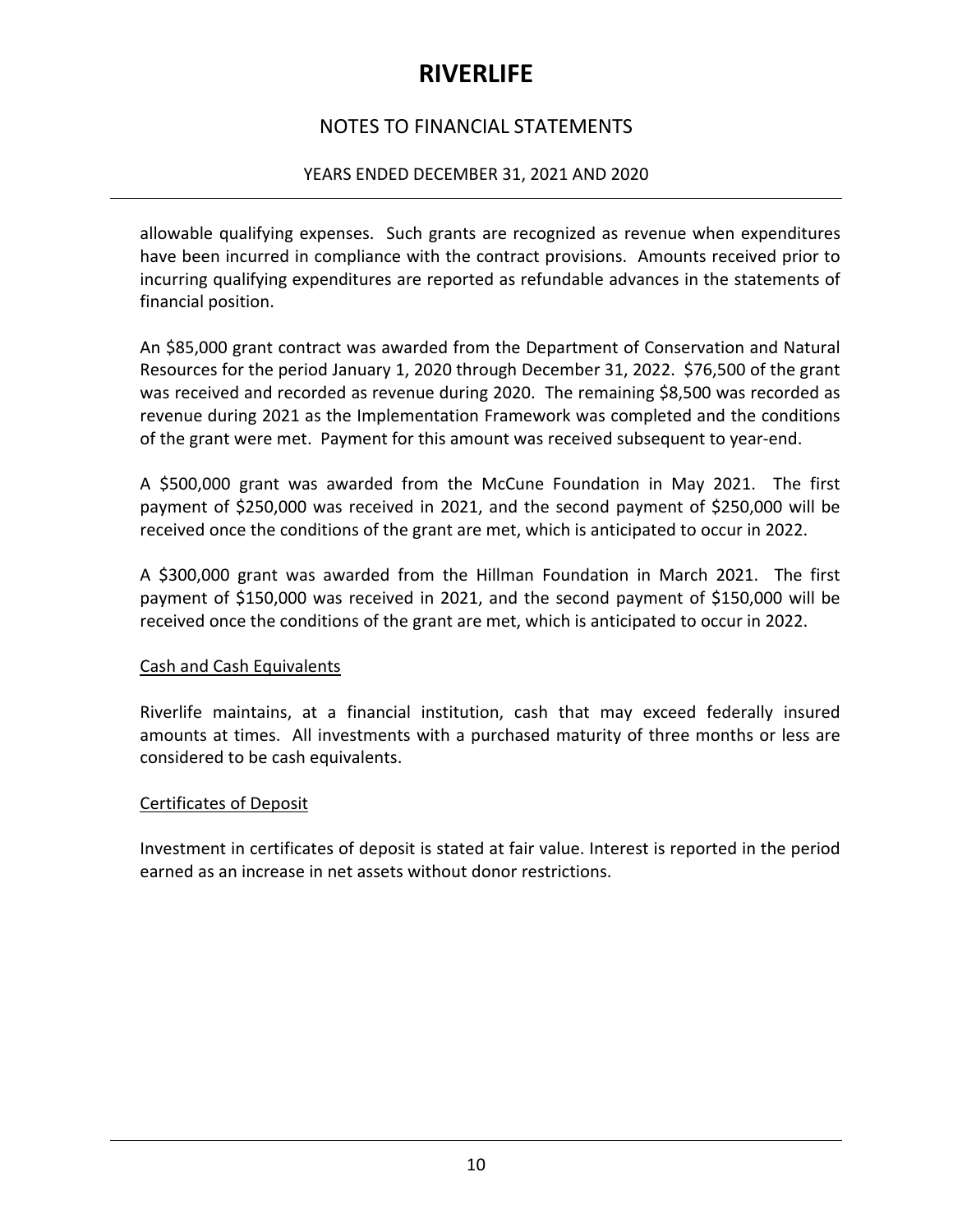## NOTES TO FINANCIAL STATEMENTS

### YEARS ENDED DECEMBER 31, 2021 AND 2020

allowable qualifying expenses. Such grants are recognized as revenue when expenditures have been incurred in compliance with the contract provisions. Amounts received prior to incurring qualifying expenditures are reported as refundable advances in the statements of financial position.

An \$85,000 grant contract was awarded from the Department of Conservation and Natural Resources for the period January 1, 2020 through December 31, 2022. \$76,500 of the grant was received and recorded as revenue during 2020. The remaining \$8,500 was recorded as revenue during 2021 as the Implementation Framework was completed and the conditions of the grant were met. Payment for this amount was received subsequent to year-end.

A \$500,000 grant was awarded from the McCune Foundation in May 2021. The first payment of \$250,000 was received in 2021, and the second payment of \$250,000 will be received once the conditions of the grant are met, which is anticipated to occur in 2022.

A \$300,000 grant was awarded from the Hillman Foundation in March 2021. The first payment of \$150,000 was received in 2021, and the second payment of \$150,000 will be received once the conditions of the grant are met, which is anticipated to occur in 2022.

### Cash and Cash Equivalents

Riverlife maintains, at a financial institution, cash that may exceed federally insured amounts at times. All investments with a purchased maturity of three months or less are considered to be cash equivalents.

#### Certificates of Deposit

Investment in certificates of deposit is stated at fair value. Interest is reported in the period earned as an increase in net assets without donor restrictions.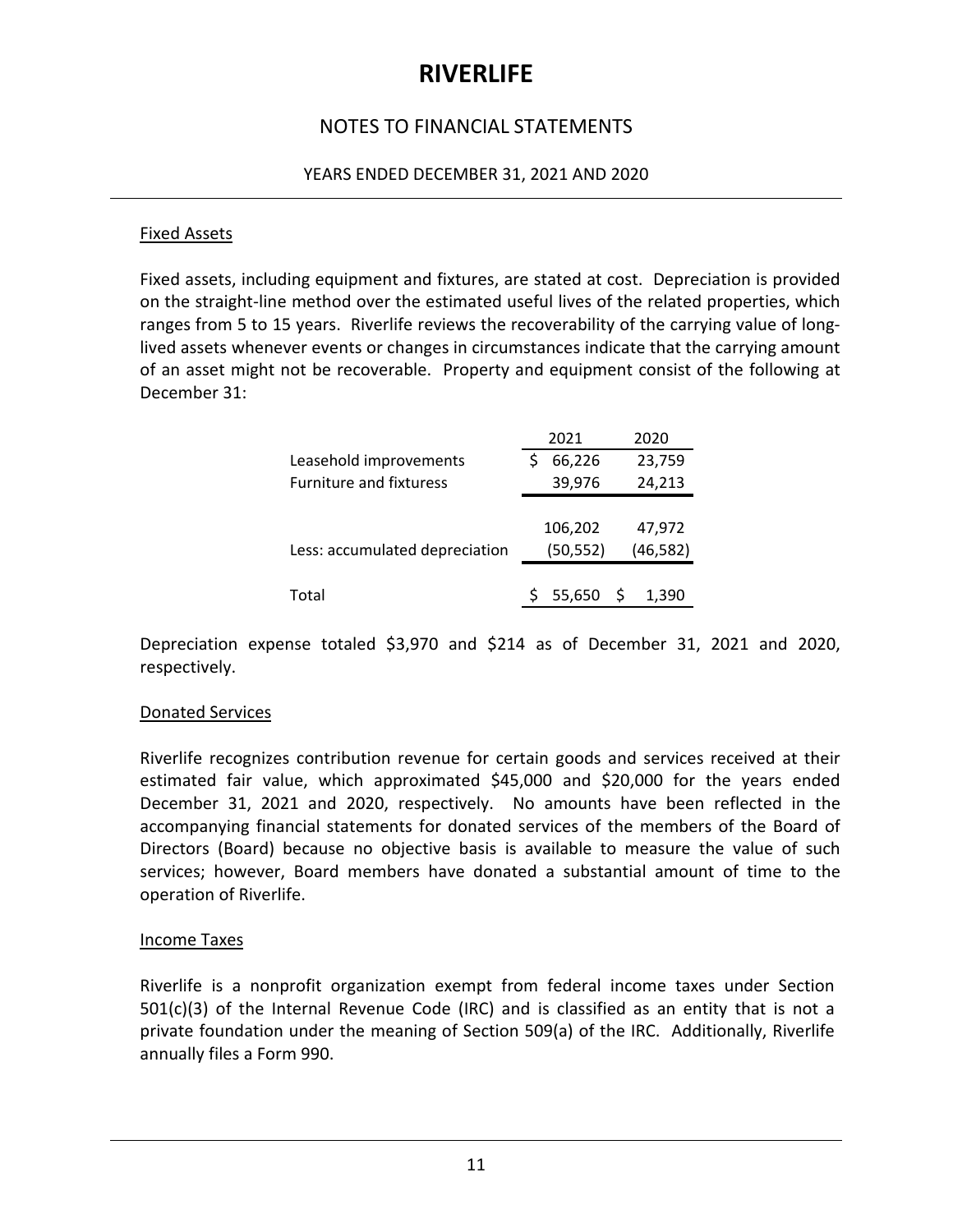## NOTES TO FINANCIAL STATEMENTS

### YEARS ENDED DECEMBER 31, 2021 AND 2020

#### Fixed Assets

Fixed assets, including equipment and fixtures, are stated at cost. Depreciation is provided on the straight-line method over the estimated useful lives of the related properties, which ranges from 5 to 15 years. Riverlife reviews the recoverability of the carrying value of longlived assets whenever events or changes in circumstances indicate that the carrying amount of an asset might not be recoverable. Property and equipment consist of the following at December 31:

|                                | 2021      | 2020      |
|--------------------------------|-----------|-----------|
| Leasehold improvements         | 66,226    | 23,759    |
| <b>Furniture and fixturess</b> | 39,976    | 24,213    |
|                                |           |           |
|                                | 106,202   | 47,972    |
| Less: accumulated depreciation | (50, 552) | (46, 582) |
|                                |           |           |
| Total                          | 55,650    | 1,390     |

Depreciation expense totaled \$3,970 and \$214 as of December 31, 2021 and 2020, respectively.

### Donated Services

Riverlife recognizes contribution revenue for certain goods and services received at their estimated fair value, which approximated \$45,000 and \$20,000 for the years ended December 31, 2021 and 2020, respectively. No amounts have been reflected in the accompanying financial statements for donated services of the members of the Board of Directors (Board) because no objective basis is available to measure the value of such services; however, Board members have donated a substantial amount of time to the operation of Riverlife.

### Income Taxes

Riverlife is a nonprofit organization exempt from federal income taxes under Section 501(c)(3) of the Internal Revenue Code (IRC) and is classified as an entity that is not a private foundation under the meaning of Section 509(a) of the IRC. Additionally, Riverlife annually files a Form 990.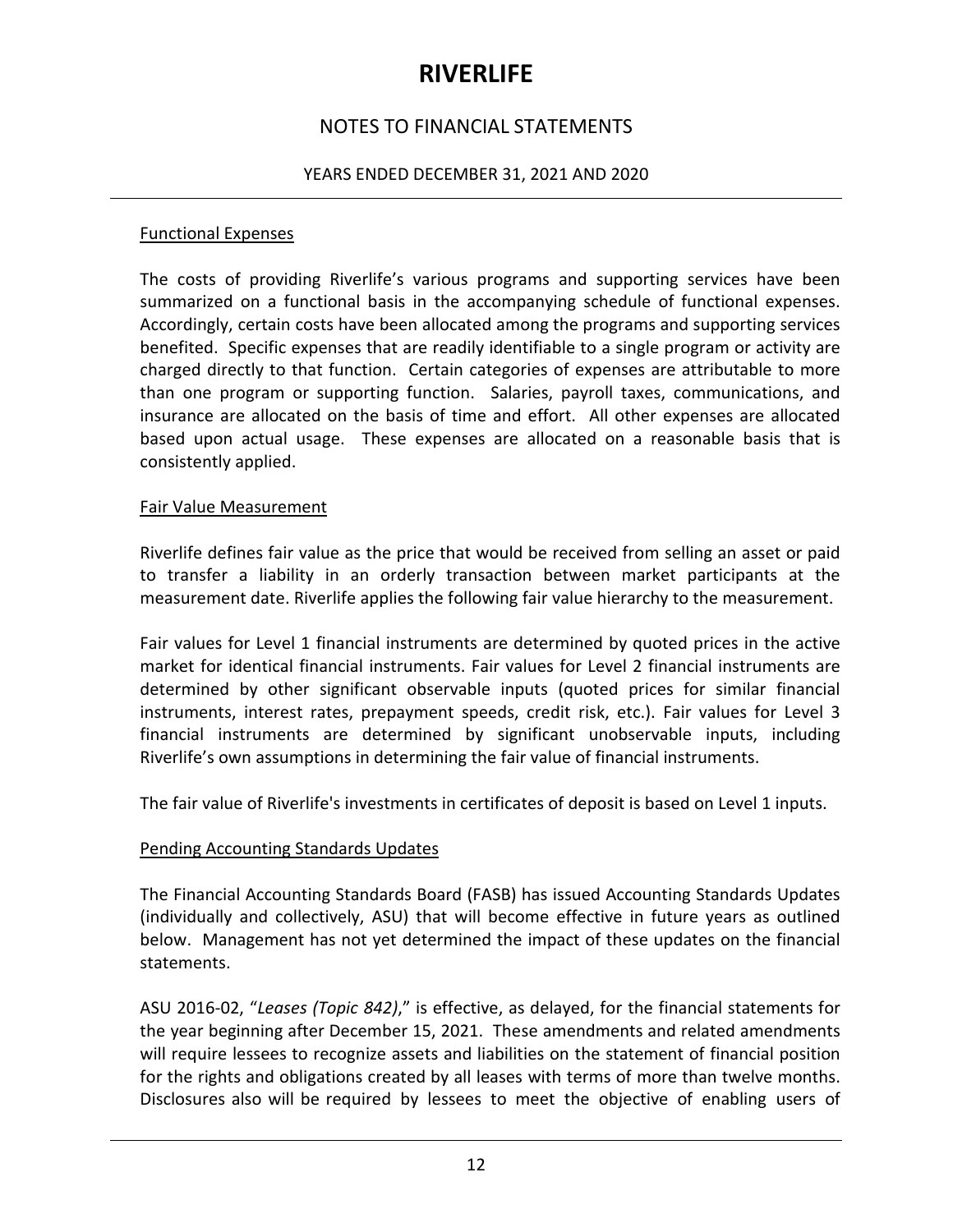## NOTES TO FINANCIAL STATEMENTS

### YEARS ENDED DECEMBER 31, 2021 AND 2020

#### Functional Expenses

The costs of providing Riverlife's various programs and supporting services have been summarized on a functional basis in the accompanying schedule of functional expenses. Accordingly, certain costs have been allocated among the programs and supporting services benefited. Specific expenses that are readily identifiable to a single program or activity are charged directly to that function. Certain categories of expenses are attributable to more than one program or supporting function. Salaries, payroll taxes, communications, and insurance are allocated on the basis of time and effort. All other expenses are allocated based upon actual usage. These expenses are allocated on a reasonable basis that is consistently applied.

#### Fair Value Measurement

Riverlife defines fair value as the price that would be received from selling an asset or paid to transfer a liability in an orderly transaction between market participants at the measurement date. Riverlife applies the following fair value hierarchy to the measurement.

Fair values for Level 1 financial instruments are determined by quoted prices in the active market for identical financial instruments. Fair values for Level 2 financial instruments are determined by other significant observable inputs (quoted prices for similar financial instruments, interest rates, prepayment speeds, credit risk, etc.). Fair values for Level 3 financial instruments are determined by significant unobservable inputs, including Riverlife's own assumptions in determining the fair value of financial instruments.

The fair value of Riverlife's investments in certificates of deposit is based on Level 1 inputs.

### Pending Accounting Standards Updates

The Financial Accounting Standards Board (FASB) has issued Accounting Standards Updates (individually and collectively, ASU) that will become effective in future years as outlined below. Management has not yet determined the impact of these updates on the financial statements.

ASU 2016-02, "*Leases (Topic 842)*," is effective, as delayed, for the financial statements for the year beginning after December 15, 2021. These amendments and related amendments will require lessees to recognize assets and liabilities on the statement of financial position for the rights and obligations created by all leases with terms of more than twelve months. Disclosures also will be required by lessees to meet the objective of enabling users of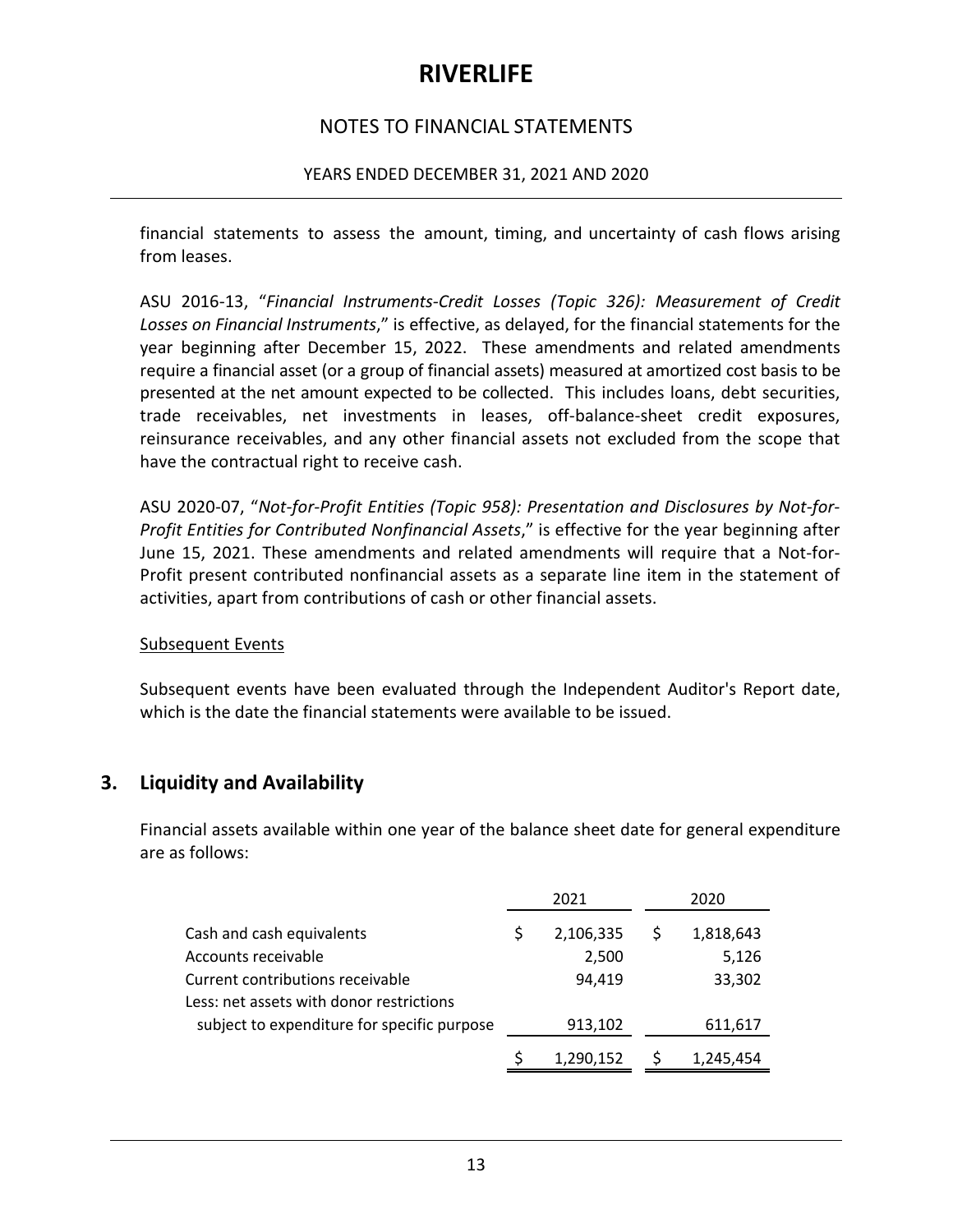### NOTES TO FINANCIAL STATEMENTS

#### YEARS ENDED DECEMBER 31, 2021 AND 2020

financial statements to assess the amount, timing, and uncertainty of cash flows arising from leases.

ASU 2016-13, "*Financial Instruments-Credit Losses (Topic 326): Measurement of Credit Losses on Financial Instruments*," is effective, as delayed, for the financial statements for the year beginning after December 15, 2022. These amendments and related amendments require a financial asset (or a group of financial assets) measured at amortized cost basis to be presented at the net amount expected to be collected. This includes loans, debt securities, trade receivables, net investments in leases, off-balance-sheet credit exposures, reinsurance receivables, and any other financial assets not excluded from the scope that have the contractual right to receive cash.

ASU 2020-07, "*Not-for-Profit Entities (Topic 958): Presentation and Disclosures by Not-for-Profit Entities for Contributed Nonfinancial Assets*," is effective for the year beginning after June 15, 2021. These amendments and related amendments will require that a Not-for-Profit present contributed nonfinancial assets as a separate line item in the statement of activities, apart from contributions of cash or other financial assets.

#### Subsequent Events

Subsequent events have been evaluated through the Independent Auditor's Report date, which is the date the financial statements were available to be issued.

### **3. Liquidity and Availability**

Financial assets available within one year of the balance sheet date for general expenditure are as follows:

|                                             | 2021 |           |   | 2020      |  |
|---------------------------------------------|------|-----------|---|-----------|--|
| Cash and cash equivalents                   | S    | 2,106,335 | S | 1,818,643 |  |
| Accounts receivable                         |      | 2,500     |   | 5,126     |  |
| Current contributions receivable            |      | 94,419    |   | 33,302    |  |
| Less: net assets with donor restrictions    |      |           |   |           |  |
| subject to expenditure for specific purpose |      | 913,102   |   | 611,617   |  |
|                                             |      | 1,290,152 |   | 1,245,454 |  |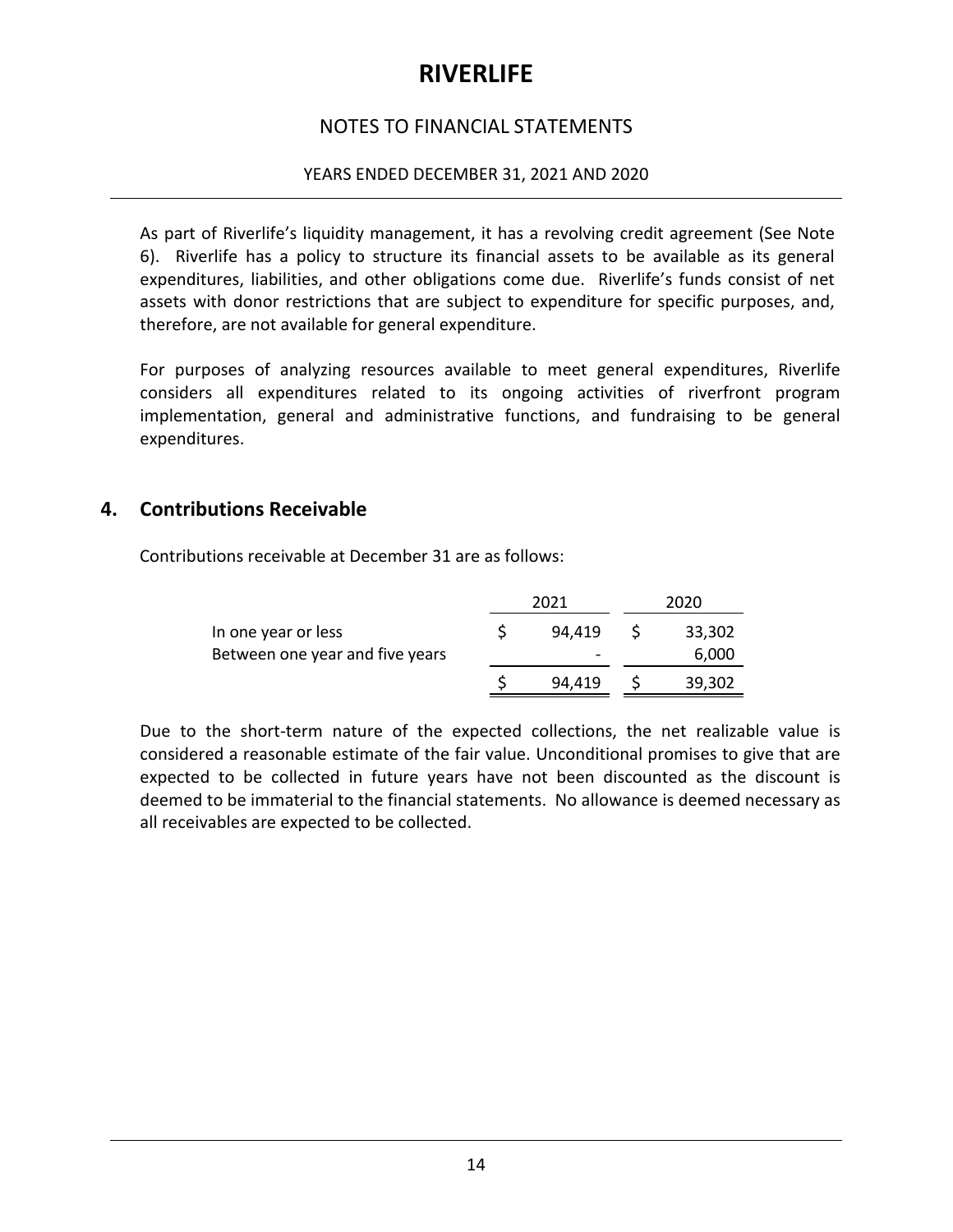### NOTES TO FINANCIAL STATEMENTS

#### YEARS ENDED DECEMBER 31, 2021 AND 2020

As part of Riverlife's liquidity management, it has a revolving credit agreement (See Note 6). Riverlife has a policy to structure its financial assets to be available as its general expenditures, liabilities, and other obligations come due. Riverlife's funds consist of net assets with donor restrictions that are subject to expenditure for specific purposes, and, therefore, are not available for general expenditure.

For purposes of analyzing resources available to meet general expenditures, Riverlife considers all expenditures related to its ongoing activities of riverfront program implementation, general and administrative functions, and fundraising to be general expenditures.

### **4. Contributions Receivable**

Contributions receivable at December 31 are as follows:

|                                 | 2021   | 2020   |
|---------------------------------|--------|--------|
| In one year or less             | 94,419 | 33,302 |
| Between one year and five years | -      | 6,000  |
|                                 | 94,419 | 39,302 |

Due to the short-term nature of the expected collections, the net realizable value is considered a reasonable estimate of the fair value. Unconditional promises to give that are expected to be collected in future years have not been discounted as the discount is deemed to be immaterial to the financial statements. No allowance is deemed necessary as all receivables are expected to be collected.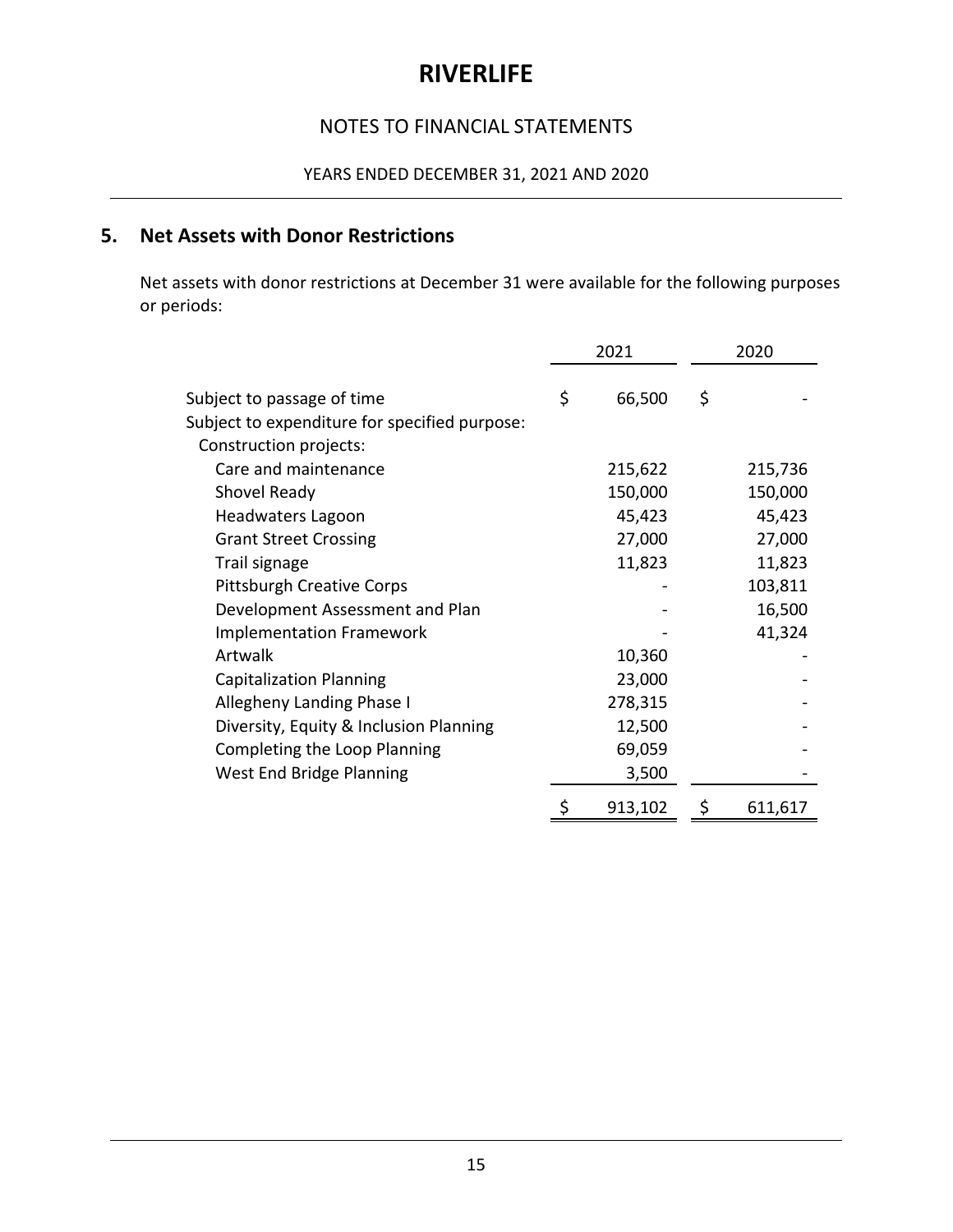## NOTES TO FINANCIAL STATEMENTS

### YEARS ENDED DECEMBER 31, 2021 AND 2020

## **5. Net Assets with Donor Restrictions**

Net assets with donor restrictions at December 31 were available for the following purposes or periods:

|                                                                             | 2021         | 2020          |  |  |
|-----------------------------------------------------------------------------|--------------|---------------|--|--|
| Subject to passage of time<br>Subject to expenditure for specified purpose: | \$<br>66,500 | \$            |  |  |
| Construction projects:                                                      |              |               |  |  |
| Care and maintenance                                                        | 215,622      | 215,736       |  |  |
| Shovel Ready                                                                | 150,000      | 150,000       |  |  |
| <b>Headwaters Lagoon</b>                                                    | 45,423       | 45,423        |  |  |
| <b>Grant Street Crossing</b>                                                | 27,000       | 27,000        |  |  |
| Trail signage                                                               | 11,823       | 11,823        |  |  |
| <b>Pittsburgh Creative Corps</b>                                            |              | 103,811       |  |  |
| Development Assessment and Plan                                             |              | 16,500        |  |  |
| <b>Implementation Framework</b>                                             |              | 41,324        |  |  |
| Artwalk                                                                     | 10,360       |               |  |  |
| <b>Capitalization Planning</b>                                              | 23,000       |               |  |  |
| Allegheny Landing Phase I                                                   | 278,315      |               |  |  |
| Diversity, Equity & Inclusion Planning                                      | 12,500       |               |  |  |
| Completing the Loop Planning                                                | 69,059       |               |  |  |
| West End Bridge Planning                                                    | 3,500        |               |  |  |
|                                                                             | 913,102      | \$<br>611,617 |  |  |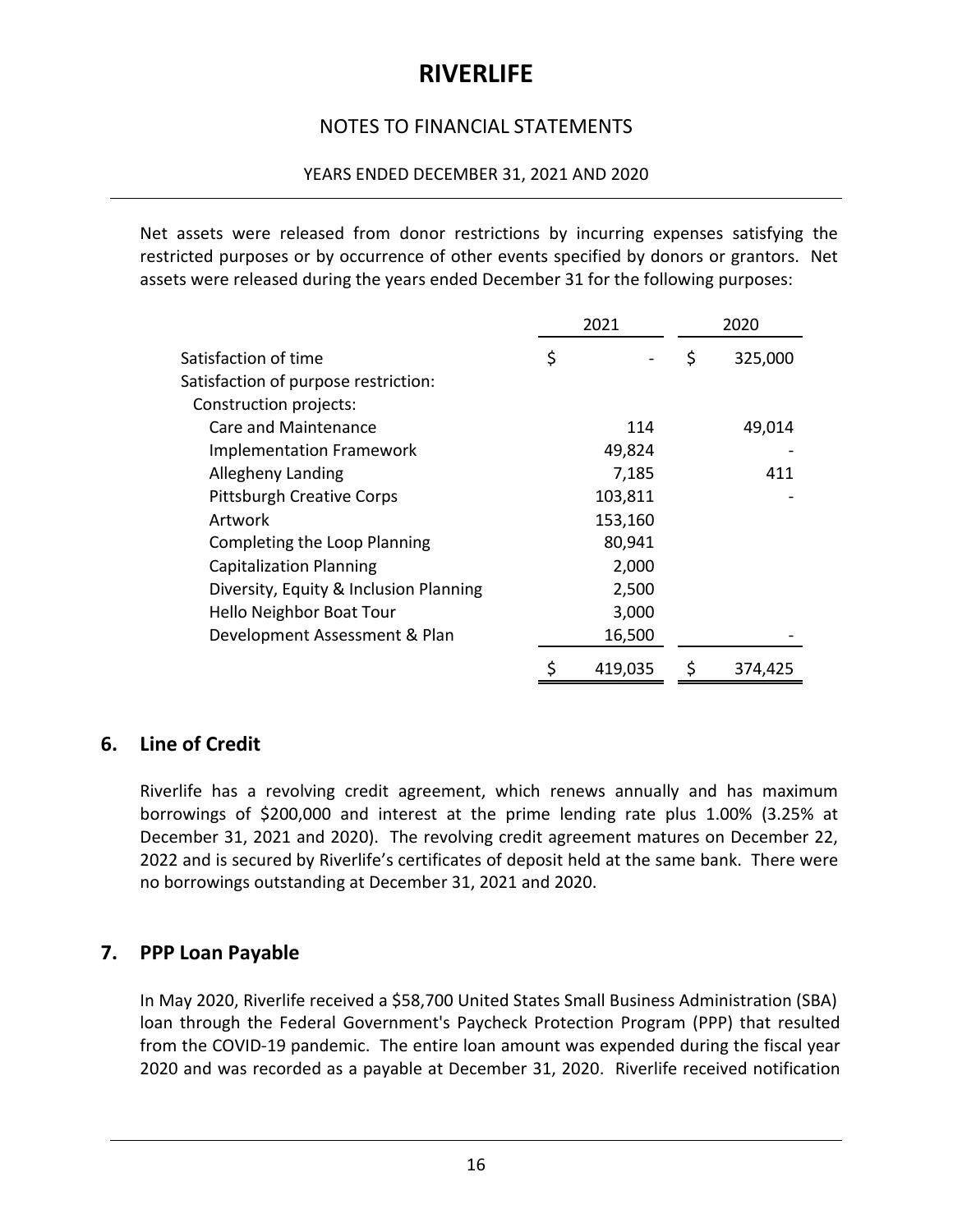## NOTES TO FINANCIAL STATEMENTS

### YEARS ENDED DECEMBER 31, 2021 AND 2020

Net assets were released from donor restrictions by incurring expenses satisfying the restricted purposes or by occurrence of other events specified by donors or grantors. Net assets were released during the years ended December 31 for the following purposes:

|                                        | 2021          | 2020 |         |  |
|----------------------------------------|---------------|------|---------|--|
| Satisfaction of time                   | \$            | \$   | 325,000 |  |
| Satisfaction of purpose restriction:   |               |      |         |  |
| Construction projects:                 |               |      |         |  |
| Care and Maintenance                   | 114           |      | 49,014  |  |
| <b>Implementation Framework</b>        | 49,824        |      |         |  |
| Allegheny Landing                      | 7,185         |      | 411     |  |
| <b>Pittsburgh Creative Corps</b>       | 103,811       |      |         |  |
| Artwork                                | 153,160       |      |         |  |
| Completing the Loop Planning           | 80,941        |      |         |  |
| <b>Capitalization Planning</b>         | 2,000         |      |         |  |
| Diversity, Equity & Inclusion Planning | 2,500         |      |         |  |
| Hello Neighbor Boat Tour               | 3,000         |      |         |  |
| Development Assessment & Plan          | 16,500        |      |         |  |
|                                        | \$<br>419,035 | \$   | 374,425 |  |

### **6. Line of Credit**

Riverlife has a revolving credit agreement, which renews annually and has maximum borrowings of \$200,000 and interest at the prime lending rate plus 1.00% (3.25% at December 31, 2021 and 2020). The revolving credit agreement matures on December 22, 2022 and is secured by Riverlife's certificates of deposit held at the same bank. There were no borrowings outstanding at December 31, 2021 and 2020.

## **7. PPP Loan Payable**

In May 2020, Riverlife received a \$58,700 United States Small Business Administration (SBA) loan through the Federal Government's Paycheck Protection Program (PPP) that resulted from the COVID-19 pandemic. The entire loan amount was expended during the fiscal year 2020 and was recorded as a payable at December 31, 2020. Riverlife received notification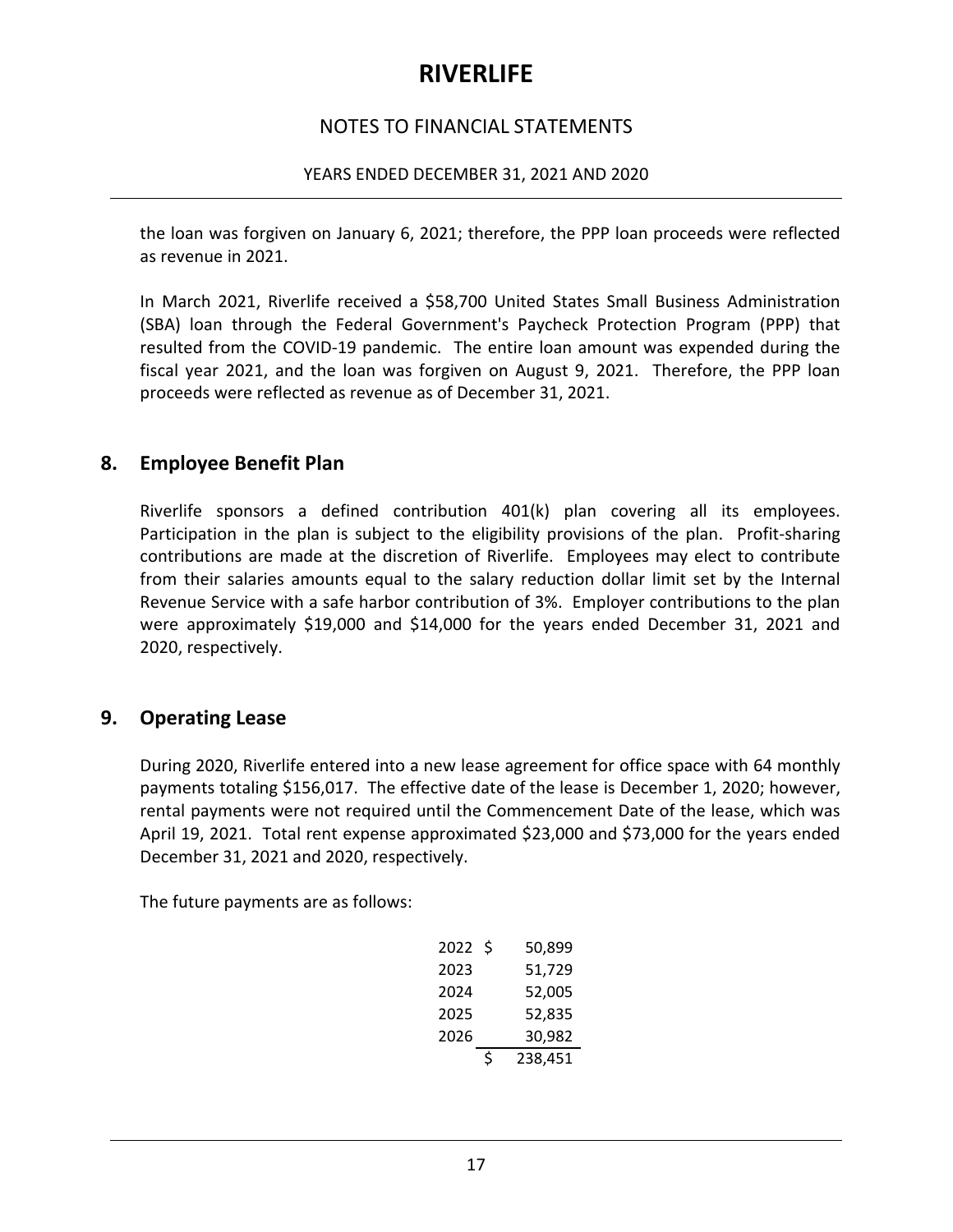### NOTES TO FINANCIAL STATEMENTS

#### YEARS ENDED DECEMBER 31, 2021 AND 2020

the loan was forgiven on January 6, 2021; therefore, the PPP loan proceeds were reflected as revenue in 2021.

In March 2021, Riverlife received a \$58,700 United States Small Business Administration (SBA) loan through the Federal Government's Paycheck Protection Program (PPP) that resulted from the COVID-19 pandemic. The entire loan amount was expended during the fiscal year 2021, and the loan was forgiven on August 9, 2021. Therefore, the PPP loan proceeds were reflected as revenue as of December 31, 2021.

### **8. Employee Benefit Plan**

Riverlife sponsors a defined contribution 401(k) plan covering all its employees. Participation in the plan is subject to the eligibility provisions of the plan. Profit-sharing contributions are made at the discretion of Riverlife. Employees may elect to contribute from their salaries amounts equal to the salary reduction dollar limit set by the Internal Revenue Service with a safe harbor contribution of 3%. Employer contributions to the plan were approximately \$19,000 and \$14,000 for the years ended December 31, 2021 and 2020, respectively.

### **9. Operating Lease**

During 2020, Riverlife entered into a new lease agreement for office space with 64 monthly payments totaling \$156,017. The effective date of the lease is December 1, 2020; however, rental payments were not required until the Commencement Date of the lease, which was April 19, 2021. Total rent expense approximated \$23,000 and \$73,000 for the years ended December 31, 2021 and 2020, respectively.

The future payments are as follows:

| 2022 | -S | 50,899  |
|------|----|---------|
| 2023 |    | 51,729  |
| 2024 |    | 52,005  |
| 2025 |    | 52,835  |
| 2026 |    | 30,982  |
|      | Ś  | 238,451 |